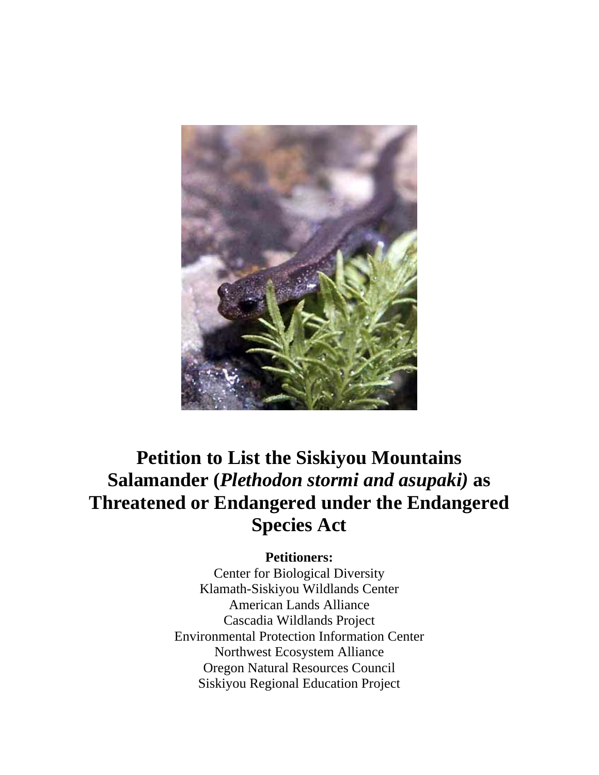

# **Petition to List the Siskiyou Mountains Salamander (***Plethodon stormi and asupaki)* **as Threatened or Endangered under the Endangered Species Act**

# **Petitioners:**

Center for Biological Diversity Klamath-Siskiyou Wildlands Center American Lands Alliance Cascadia Wildlands Project Environmental Protection Information Center Northwest Ecosystem Alliance Oregon Natural Resources Council Siskiyou Regional Education Project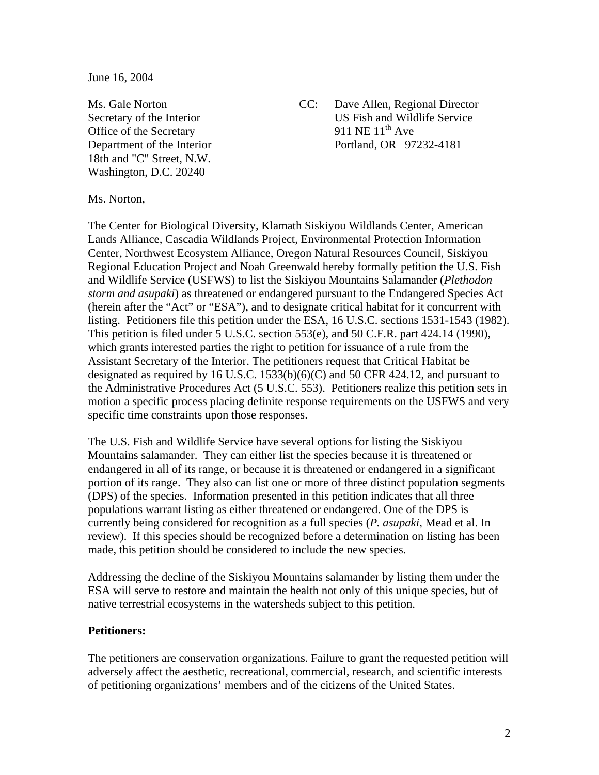June 16, 2004

Office of the Secretary 18th and "C" Street, N.W. Washington, D.C. 20240

Ms. Gale Norton CC: Dave Allen, Regional Director Secretary of the Interior<br>Office of the Secretary 11 NE 1<sup>th</sup> Ave Department of the Interior Portland, OR 97232-4181

Ms. Norton,

The Center for Biological Diversity, Klamath Siskiyou Wildlands Center, American Lands Alliance, Cascadia Wildlands Project, Environmental Protection Information Center, Northwest Ecosystem Alliance, Oregon Natural Resources Council, Siskiyou Regional Education Project and Noah Greenwald hereby formally petition the U.S. Fish and Wildlife Service (USFWS) to list the Siskiyou Mountains Salamander (*Plethodon storm and asupaki*) as threatened or endangered pursuant to the Endangered Species Act (herein after the "Act" or "ESA"), and to designate critical habitat for it concurrent with listing. Petitioners file this petition under the ESA, 16 U.S.C. sections 1531-1543 (1982). This petition is filed under 5 U.S.C. section 553(e), and 50 C.F.R. part 424.14 (1990), which grants interested parties the right to petition for issuance of a rule from the Assistant Secretary of the Interior. The petitioners request that Critical Habitat be designated as required by 16 U.S.C. 1533(b)(6)(C) and 50 CFR 424.12, and pursuant to the Administrative Procedures Act (5 U.S.C. 553). Petitioners realize this petition sets in motion a specific process placing definite response requirements on the USFWS and very specific time constraints upon those responses.

The U.S. Fish and Wildlife Service have several options for listing the Siskiyou Mountains salamander. They can either list the species because it is threatened or endangered in all of its range, or because it is threatened or endangered in a significant portion of its range. They also can list one or more of three distinct population segments (DPS) of the species. Information presented in this petition indicates that all three populations warrant listing as either threatened or endangered. One of the DPS is currently being considered for recognition as a full species (*P. asupaki*, Mead et al. In review). If this species should be recognized before a determination on listing has been made, this petition should be considered to include the new species.

Addressing the decline of the Siskiyou Mountains salamander by listing them under the ESA will serve to restore and maintain the health not only of this unique species, but of native terrestrial ecosystems in the watersheds subject to this petition.

#### **Petitioners:**

The petitioners are conservation organizations. Failure to grant the requested petition will adversely affect the aesthetic, recreational, commercial, research, and scientific interests of petitioning organizations' members and of the citizens of the United States.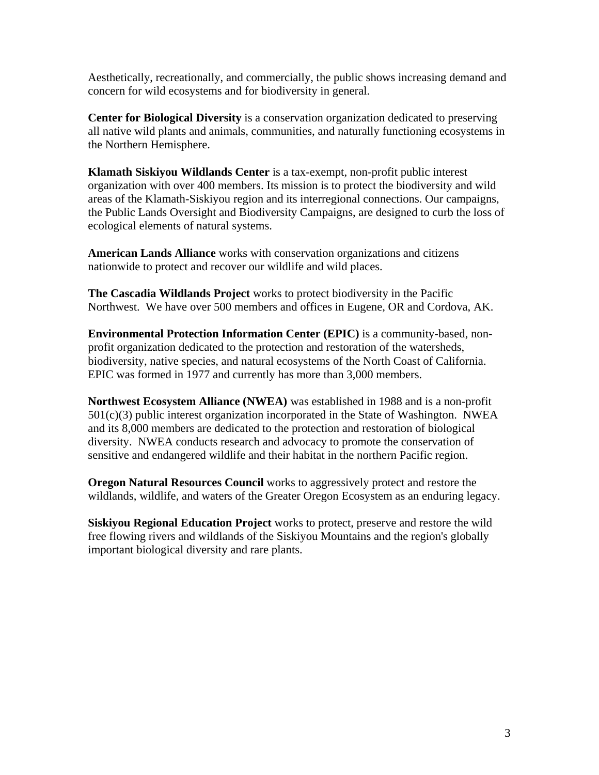Aesthetically, recreationally, and commercially, the public shows increasing demand and concern for wild ecosystems and for biodiversity in general.

**Center for Biological Diversity** is a conservation organization dedicated to preserving all native wild plants and animals, communities, and naturally functioning ecosystems in the Northern Hemisphere.

**Klamath Siskiyou Wildlands Center** is a tax-exempt, non-profit public interest organization with over 400 members. Its mission is to protect the biodiversity and wild areas of the Klamath-Siskiyou region and its interregional connections. Our campaigns, the Public Lands Oversight and Biodiversity Campaigns, are designed to curb the loss of ecological elements of natural systems.

**American Lands Alliance** works with conservation organizations and citizens nationwide to protect and recover our wildlife and wild places.

**The Cascadia Wildlands Project** works to protect biodiversity in the Pacific Northwest. We have over 500 members and offices in Eugene, OR and Cordova, AK.

**Environmental Protection Information Center (EPIC)** is a community-based, nonprofit organization dedicated to the protection and restoration of the watersheds, biodiversity, native species, and natural ecosystems of the North Coast of California. EPIC was formed in 1977 and currently has more than 3,000 members.

**Northwest Ecosystem Alliance (NWEA)** was established in 1988 and is a non-profit  $501(c)(3)$  public interest organization incorporated in the State of Washington. NWEA and its 8,000 members are dedicated to the protection and restoration of biological diversity. NWEA conducts research and advocacy to promote the conservation of sensitive and endangered wildlife and their habitat in the northern Pacific region.

**Oregon Natural Resources Council** works to aggressively protect and restore the wildlands, wildlife, and waters of the Greater Oregon Ecosystem as an enduring legacy.

**Siskiyou Regional Education Project** works to protect, preserve and restore the wild free flowing rivers and wildlands of the Siskiyou Mountains and the region's globally important biological diversity and rare plants.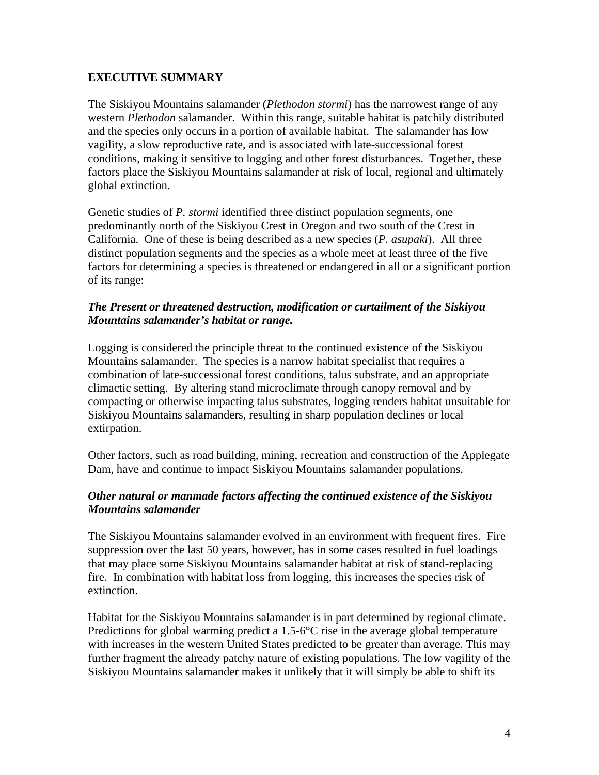## **EXECUTIVE SUMMARY**

The Siskiyou Mountains salamander (*Plethodon stormi*) has the narrowest range of any western *Plethodon* salamander. Within this range, suitable habitat is patchily distributed and the species only occurs in a portion of available habitat. The salamander has low vagility, a slow reproductive rate, and is associated with late-successional forest conditions, making it sensitive to logging and other forest disturbances. Together, these factors place the Siskiyou Mountains salamander at risk of local, regional and ultimately global extinction.

Genetic studies of *P. stormi* identified three distinct population segments, one predominantly north of the Siskiyou Crest in Oregon and two south of the Crest in California. One of these is being described as a new species (*P. asupaki*). All three distinct population segments and the species as a whole meet at least three of the five factors for determining a species is threatened or endangered in all or a significant portion of its range:

## *The Present or threatened destruction, modification or curtailment of the Siskiyou Mountains salamander's habitat or range.*

Logging is considered the principle threat to the continued existence of the Siskiyou Mountains salamander. The species is a narrow habitat specialist that requires a combination of late-successional forest conditions, talus substrate, and an appropriate climactic setting. By altering stand microclimate through canopy removal and by compacting or otherwise impacting talus substrates, logging renders habitat unsuitable for Siskiyou Mountains salamanders, resulting in sharp population declines or local extirpation.

Other factors, such as road building, mining, recreation and construction of the Applegate Dam, have and continue to impact Siskiyou Mountains salamander populations.

## *Other natural or manmade factors affecting the continued existence of the Siskiyou Mountains salamander*

The Siskiyou Mountains salamander evolved in an environment with frequent fires. Fire suppression over the last 50 years, however, has in some cases resulted in fuel loadings that may place some Siskiyou Mountains salamander habitat at risk of stand-replacing fire. In combination with habitat loss from logging, this increases the species risk of extinction.

Habitat for the Siskiyou Mountains salamander is in part determined by regional climate. Predictions for global warming predict a  $1.5\text{-}6^{\circ}\text{C}$  rise in the average global temperature with increases in the western United States predicted to be greater than average. This may further fragment the already patchy nature of existing populations. The low vagility of the Siskiyou Mountains salamander makes it unlikely that it will simply be able to shift its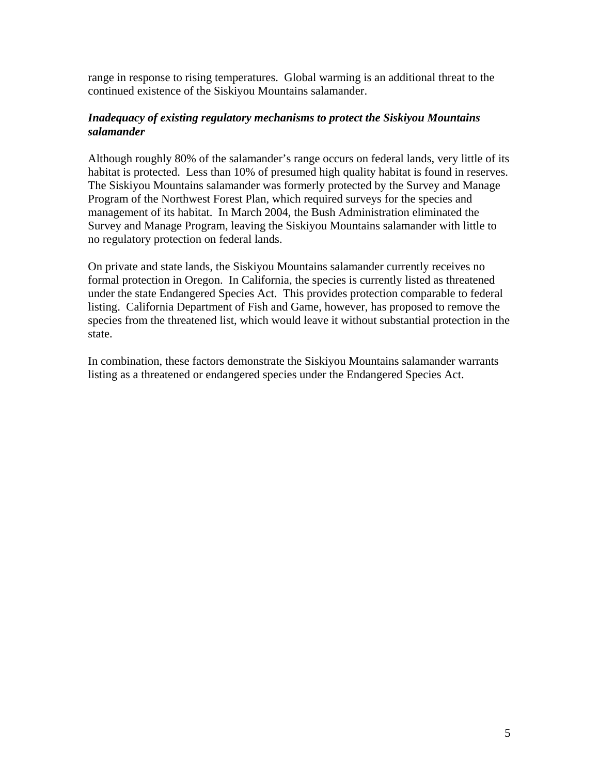range in response to rising temperatures. Global warming is an additional threat to the continued existence of the Siskiyou Mountains salamander.

## *Inadequacy of existing regulatory mechanisms to protect the Siskiyou Mountains salamander*

Although roughly 80% of the salamander's range occurs on federal lands, very little of its habitat is protected. Less than 10% of presumed high quality habitat is found in reserves. The Siskiyou Mountains salamander was formerly protected by the Survey and Manage Program of the Northwest Forest Plan, which required surveys for the species and management of its habitat. In March 2004, the Bush Administration eliminated the Survey and Manage Program, leaving the Siskiyou Mountains salamander with little to no regulatory protection on federal lands.

On private and state lands, the Siskiyou Mountains salamander currently receives no formal protection in Oregon. In California, the species is currently listed as threatened under the state Endangered Species Act. This provides protection comparable to federal listing. California Department of Fish and Game, however, has proposed to remove the species from the threatened list, which would leave it without substantial protection in the state.

In combination, these factors demonstrate the Siskiyou Mountains salamander warrants listing as a threatened or endangered species under the Endangered Species Act.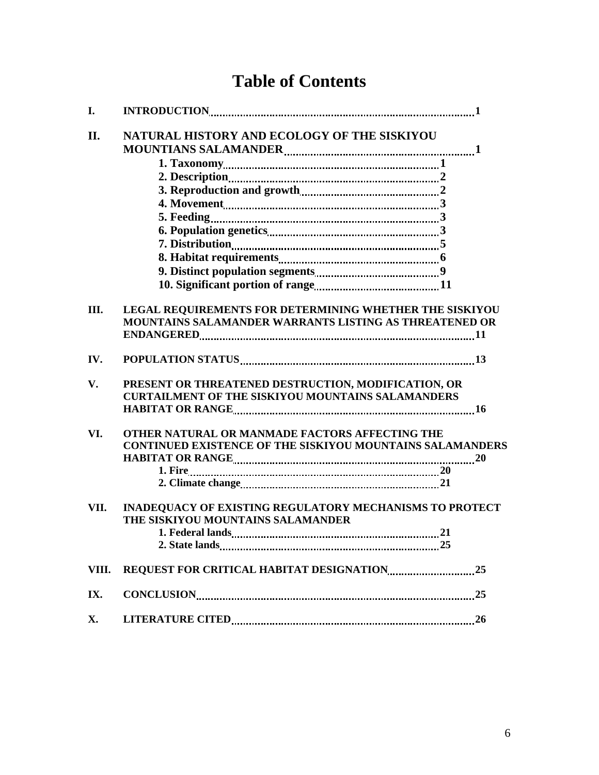# **Table of Contents**

| I.    |                                                                  |
|-------|------------------------------------------------------------------|
| II.   | NATURAL HISTORY AND ECOLOGY OF THE SISKIYOU                      |
|       |                                                                  |
|       |                                                                  |
|       |                                                                  |
|       |                                                                  |
|       |                                                                  |
|       |                                                                  |
|       |                                                                  |
|       |                                                                  |
|       |                                                                  |
|       |                                                                  |
|       |                                                                  |
| III.  | <b>LEGAL REQUIREMENTS FOR DETERMINING WHETHER THE SISKIYOU</b>   |
|       | MOUNTAINS SALAMANDER WARRANTS LISTING AS THREATENED OR           |
|       |                                                                  |
| IV.   |                                                                  |
| V.    | PRESENT OR THREATENED DESTRUCTION, MODIFICATION, OR              |
|       | <b>CURTAILMENT OF THE SISKIYOU MOUNTAINS SALAMANDERS</b>         |
|       |                                                                  |
| VI.   | OTHER NATURAL OR MANMADE FACTORS AFFECTING THE                   |
|       | <b>CONTINUED EXISTENCE OF THE SISKIYOU MOUNTAINS SALAMANDERS</b> |
|       |                                                                  |
|       |                                                                  |
|       |                                                                  |
| VII.  | INADEQUACY OF EXISTING REGULATORY MECHANISMS TO PROTECT          |
|       | THE SISKIYOU MOUNTAINS SALAMANDER                                |
|       |                                                                  |
|       |                                                                  |
| VIII. |                                                                  |
| IX.   |                                                                  |
| X.    |                                                                  |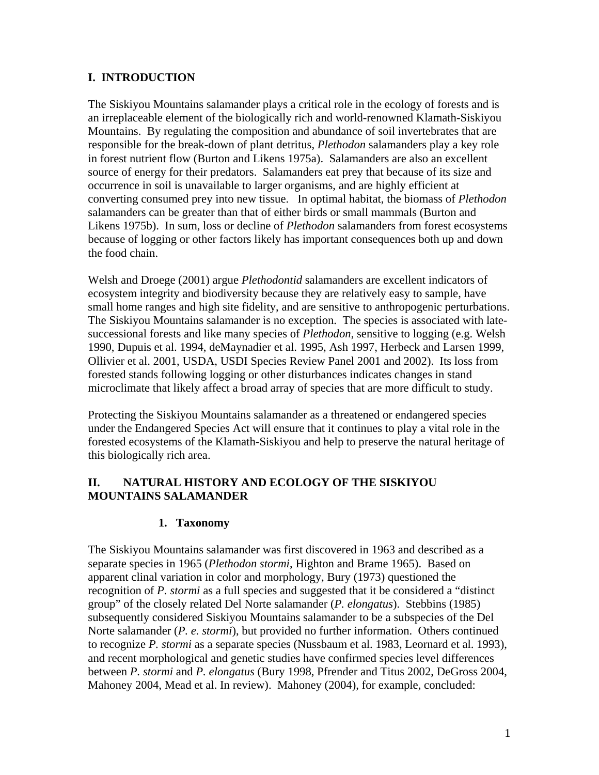## **I. INTRODUCTION**

The Siskiyou Mountains salamander plays a critical role in the ecology of forests and is an irreplaceable element of the biologically rich and world-renowned Klamath-Siskiyou Mountains. By regulating the composition and abundance of soil invertebrates that are responsible for the break-down of plant detritus, *Plethodon* salamanders play a key role in forest nutrient flow (Burton and Likens 1975a). Salamanders are also an excellent source of energy for their predators. Salamanders eat prey that because of its size and occurrence in soil is unavailable to larger organisms, and are highly efficient at converting consumed prey into new tissue. In optimal habitat, the biomass of *Plethodon*  salamanders can be greater than that of either birds or small mammals (Burton and Likens 1975b). In sum, loss or decline of *Plethodon* salamanders from forest ecosystems because of logging or other factors likely has important consequences both up and down the food chain.

Welsh and Droege (2001) argue *Plethodontid* salamanders are excellent indicators of ecosystem integrity and biodiversity because they are relatively easy to sample, have small home ranges and high site fidelity, and are sensitive to anthropogenic perturbations. The Siskiyou Mountains salamander is no exception. The species is associated with latesuccessional forests and like many species of *Plethodon*, sensitive to logging (e.g. Welsh 1990, Dupuis et al. 1994, deMaynadier et al. 1995, Ash 1997, Herbeck and Larsen 1999, Ollivier et al. 2001, USDA, USDI Species Review Panel 2001 and 2002). Its loss from forested stands following logging or other disturbances indicates changes in stand microclimate that likely affect a broad array of species that are more difficult to study.

Protecting the Siskiyou Mountains salamander as a threatened or endangered species under the Endangered Species Act will ensure that it continues to play a vital role in the forested ecosystems of the Klamath-Siskiyou and help to preserve the natural heritage of this biologically rich area.

## **II. NATURAL HISTORY AND ECOLOGY OF THE SISKIYOU MOUNTAINS SALAMANDER**

## **1. Taxonomy**

The Siskiyou Mountains salamander was first discovered in 1963 and described as a separate species in 1965 (*Plethodon stormi*, Highton and Brame 1965). Based on apparent clinal variation in color and morphology, Bury (1973) questioned the recognition of *P. stormi* as a full species and suggested that it be considered a "distinct group" of the closely related Del Norte salamander (*P. elongatus*). Stebbins (1985) subsequently considered Siskiyou Mountains salamander to be a subspecies of the Del Norte salamander (*P. e. stormi*), but provided no further information. Others continued to recognize *P. stormi* as a separate species (Nussbaum et al. 1983, Leornard et al. 1993), and recent morphological and genetic studies have confirmed species level differences between *P. stormi* and *P. elongatus* (Bury 1998, Pfrender and Titus 2002, DeGross 2004, Mahoney 2004, Mead et al. In review). Mahoney (2004), for example, concluded: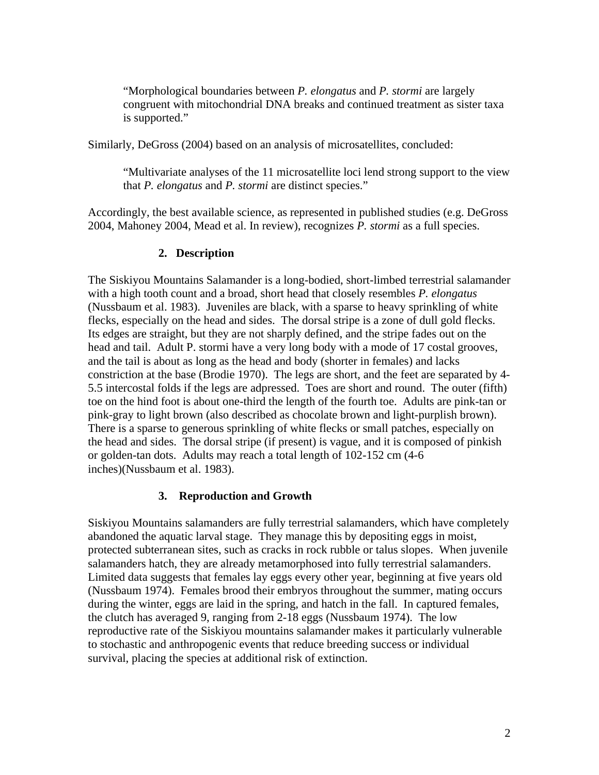"Morphological boundaries between *P. elongatus* and *P. stormi* are largely congruent with mitochondrial DNA breaks and continued treatment as sister taxa is supported."

Similarly, DeGross (2004) based on an analysis of microsatellites, concluded:

"Multivariate analyses of the 11 microsatellite loci lend strong support to the view that *P. elongatus* and *P. stormi* are distinct species."

Accordingly, the best available science, as represented in published studies (e.g. DeGross 2004, Mahoney 2004, Mead et al. In review), recognizes *P. stormi* as a full species.

#### **2. Description**

The Siskiyou Mountains Salamander is a long-bodied, short-limbed terrestrial salamander with a high tooth count and a broad, short head that closely resembles *P. elongatus* (Nussbaum et al. 1983). Juveniles are black, with a sparse to heavy sprinkling of white flecks, especially on the head and sides. The dorsal stripe is a zone of dull gold flecks. Its edges are straight, but they are not sharply defined, and the stripe fades out on the head and tail. Adult P. stormi have a very long body with a mode of 17 costal grooves, and the tail is about as long as the head and body (shorter in females) and lacks constriction at the base (Brodie 1970). The legs are short, and the feet are separated by 4- 5.5 intercostal folds if the legs are adpressed. Toes are short and round. The outer (fifth) toe on the hind foot is about one-third the length of the fourth toe. Adults are pink-tan or pink-gray to light brown (also described as chocolate brown and light-purplish brown). There is a sparse to generous sprinkling of white flecks or small patches, especially on the head and sides. The dorsal stripe (if present) is vague, and it is composed of pinkish or golden-tan dots. Adults may reach a total length of 102-152 cm (4-6 inches)(Nussbaum et al. 1983).

#### **3. Reproduction and Growth**

Siskiyou Mountains salamanders are fully terrestrial salamanders, which have completely abandoned the aquatic larval stage. They manage this by depositing eggs in moist, protected subterranean sites, such as cracks in rock rubble or talus slopes. When juvenile salamanders hatch, they are already metamorphosed into fully terrestrial salamanders. Limited data suggests that females lay eggs every other year, beginning at five years old (Nussbaum 1974). Females brood their embryos throughout the summer, mating occurs during the winter, eggs are laid in the spring, and hatch in the fall. In captured females, the clutch has averaged 9, ranging from 2-18 eggs (Nussbaum 1974). The low reproductive rate of the Siskiyou mountains salamander makes it particularly vulnerable to stochastic and anthropogenic events that reduce breeding success or individual survival, placing the species at additional risk of extinction.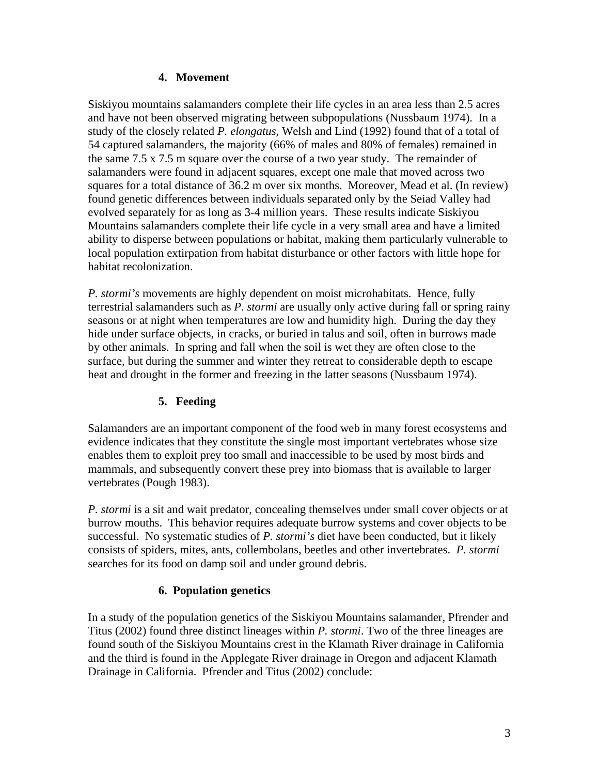## **4. Movement**

Siskiyou mountains salamanders complete their life cycles in an area less than 2.5 acres and have not been observed migrating between subpopulations (Nussbaum 1974). In a study of the closely related *P. elongatus*, Welsh and Lind (1992) found that of a total of 54 captured salamanders, the majority (66% of males and 80% of females) remained in the same 7.5 x 7.5 m square over the course of a two year study. The remainder of salamanders were found in adjacent squares, except one male that moved across two squares for a total distance of 36.2 m over six months. Moreover, Mead et al. (In review) found genetic differences between individuals separated only by the Seiad Valley had evolved separately for as long as 3-4 million years. These results indicate Siskiyou Mountains salamanders complete their life cycle in a very small area and have a limited ability to disperse between populations or habitat, making them particularly vulnerable to local population extirpation from habitat disturbance or other factors with little hope for habitat recolonization.

*P. stormi's* movements are highly dependent on moist microhabitats. Hence, fully terrestrial salamanders such as *P. stormi* are usually only active during fall or spring rainy seasons or at night when temperatures are low and humidity high. During the day they hide under surface objects, in cracks, or buried in talus and soil, often in burrows made by other animals. In spring and fall when the soil is wet they are often close to the surface, but during the summer and winter they retreat to considerable depth to escape heat and drought in the former and freezing in the latter seasons (Nussbaum 1974).

## **5. Feeding**

Salamanders are an important component of the food web in many forest ecosystems and evidence indicates that they constitute the single most important vertebrates whose size enables them to exploit prey too small and inaccessible to be used by most birds and mammals, and subsequently convert these prey into biomass that is available to larger vertebrates (Pough 1983).

*P. stormi* is a sit and wait predator, concealing themselves under small cover objects or at burrow mouths. This behavior requires adequate burrow systems and cover objects to be successful. No systematic studies of *P. stormi's* diet have been conducted, but it likely consists of spiders, mites, ants, collembolans, beetles and other invertebrates. *P. stormi* searches for its food on damp soil and under ground debris.

## **6. Population genetics**

In a study of the population genetics of the Siskiyou Mountains salamander, Pfrender and Titus (2002) found three distinct lineages within *P. stormi*. Two of the three lineages are found south of the Siskiyou Mountains crest in the Klamath River drainage in California and the third is found in the Applegate River drainage in Oregon and adjacent Klamath Drainage in California. Pfrender and Titus (2002) conclude: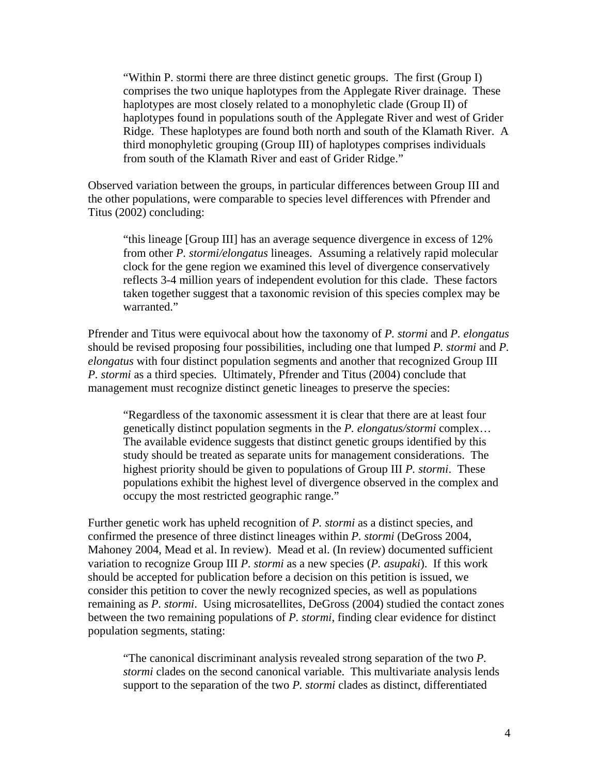"Within P. stormi there are three distinct genetic groups. The first (Group I) comprises the two unique haplotypes from the Applegate River drainage. These haplotypes are most closely related to a monophyletic clade (Group II) of haplotypes found in populations south of the Applegate River and west of Grider Ridge. These haplotypes are found both north and south of the Klamath River. A third monophyletic grouping (Group III) of haplotypes comprises individuals from south of the Klamath River and east of Grider Ridge."

Observed variation between the groups, in particular differences between Group III and the other populations, were comparable to species level differences with Pfrender and Titus (2002) concluding:

"this lineage [Group III] has an average sequence divergence in excess of 12% from other *P. stormi/elongatus* lineages. Assuming a relatively rapid molecular clock for the gene region we examined this level of divergence conservatively reflects 3-4 million years of independent evolution for this clade. These factors taken together suggest that a taxonomic revision of this species complex may be warranted."

Pfrender and Titus were equivocal about how the taxonomy of *P. stormi* and *P. elongatus* should be revised proposing four possibilities, including one that lumped *P. stormi* and *P. elongatus* with four distinct population segments and another that recognized Group III *P. stormi* as a third species. Ultimately, Pfrender and Titus (2004) conclude that management must recognize distinct genetic lineages to preserve the species:

"Regardless of the taxonomic assessment it is clear that there are at least four genetically distinct population segments in the *P. elongatus/stormi* complex… The available evidence suggests that distinct genetic groups identified by this study should be treated as separate units for management considerations. The highest priority should be given to populations of Group III *P. stormi*. These populations exhibit the highest level of divergence observed in the complex and occupy the most restricted geographic range."

Further genetic work has upheld recognition of *P. stormi* as a distinct species, and confirmed the presence of three distinct lineages within *P. stormi* (DeGross 2004, Mahoney 2004, Mead et al. In review). Mead et al. (In review) documented sufficient variation to recognize Group III *P. stormi* as a new species (*P. asupaki*). If this work should be accepted for publication before a decision on this petition is issued, we consider this petition to cover the newly recognized species, as well as populations remaining as *P. stormi*. Using microsatellites, DeGross (2004) studied the contact zones between the two remaining populations of *P. stormi*, finding clear evidence for distinct population segments, stating:

"The canonical discriminant analysis revealed strong separation of the two *P. stormi* clades on the second canonical variable. This multivariate analysis lends support to the separation of the two *P. stormi* clades as distinct, differentiated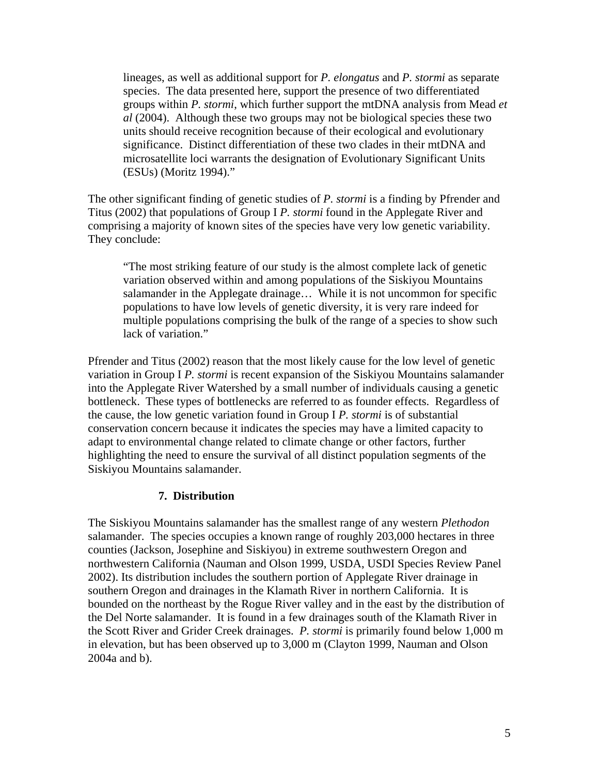lineages, as well as additional support for *P. elongatus* and *P. stormi* as separate species. The data presented here, support the presence of two differentiated groups within *P. stormi*, which further support the mtDNA analysis from Mead *et al* (2004). Although these two groups may not be biological species these two units should receive recognition because of their ecological and evolutionary significance. Distinct differentiation of these two clades in their mtDNA and microsatellite loci warrants the designation of Evolutionary Significant Units (ESUs) (Moritz 1994)."

The other significant finding of genetic studies of *P. stormi* is a finding by Pfrender and Titus (2002) that populations of Group I *P. stormi* found in the Applegate River and comprising a majority of known sites of the species have very low genetic variability. They conclude:

"The most striking feature of our study is the almost complete lack of genetic variation observed within and among populations of the Siskiyou Mountains salamander in the Applegate drainage… While it is not uncommon for specific populations to have low levels of genetic diversity, it is very rare indeed for multiple populations comprising the bulk of the range of a species to show such lack of variation."

Pfrender and Titus (2002) reason that the most likely cause for the low level of genetic variation in Group I *P. stormi* is recent expansion of the Siskiyou Mountains salamander into the Applegate River Watershed by a small number of individuals causing a genetic bottleneck. These types of bottlenecks are referred to as founder effects. Regardless of the cause, the low genetic variation found in Group I *P. stormi* is of substantial conservation concern because it indicates the species may have a limited capacity to adapt to environmental change related to climate change or other factors, further highlighting the need to ensure the survival of all distinct population segments of the Siskiyou Mountains salamander.

#### **7. Distribution**

The Siskiyou Mountains salamander has the smallest range of any western *Plethodon* salamander. The species occupies a known range of roughly 203,000 hectares in three counties (Jackson, Josephine and Siskiyou) in extreme southwestern Oregon and northwestern California (Nauman and Olson 1999, USDA, USDI Species Review Panel 2002). Its distribution includes the southern portion of Applegate River drainage in southern Oregon and drainages in the Klamath River in northern California. It is bounded on the northeast by the Rogue River valley and in the east by the distribution of the Del Norte salamander. It is found in a few drainages south of the Klamath River in the Scott River and Grider Creek drainages. *P. stormi* is primarily found below 1,000 m in elevation, but has been observed up to 3,000 m (Clayton 1999, Nauman and Olson 2004a and b).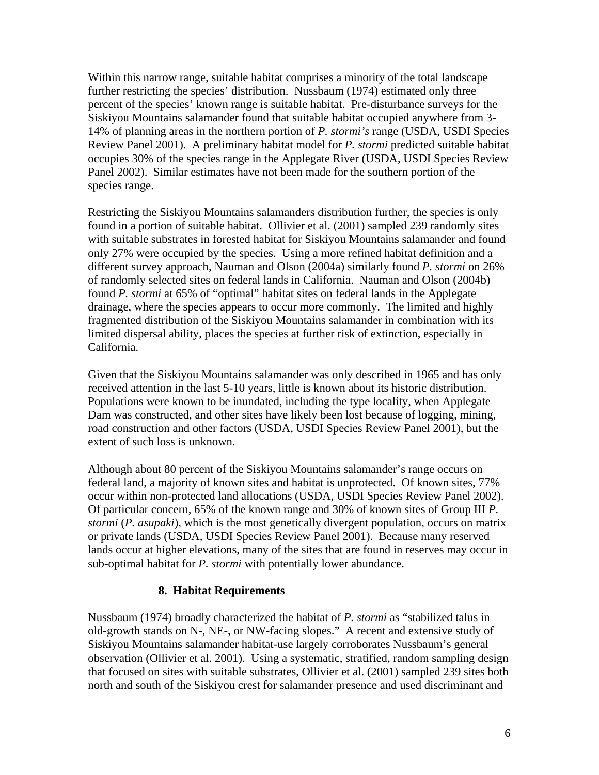Within this narrow range, suitable habitat comprises a minority of the total landscape further restricting the species' distribution. Nussbaum (1974) estimated only three percent of the species' known range is suitable habitat. Pre-disturbance surveys for the Siskiyou Mountains salamander found that suitable habitat occupied anywhere from 3- 14% of planning areas in the northern portion of *P. stormi's* range (USDA, USDI Species Review Panel 2001). A preliminary habitat model for *P. stormi* predicted suitable habitat occupies 30% of the species range in the Applegate River (USDA, USDI Species Review Panel 2002). Similar estimates have not been made for the southern portion of the species range.

Restricting the Siskiyou Mountains salamanders distribution further, the species is only found in a portion of suitable habitat. Ollivier et al. (2001) sampled 239 randomly sites with suitable substrates in forested habitat for Siskiyou Mountains salamander and found only 27% were occupied by the species. Using a more refined habitat definition and a different survey approach, Nauman and Olson (2004a) similarly found *P. stormi* on 26% of randomly selected sites on federal lands in California. Nauman and Olson (2004b) found *P. stormi* at 65% of "optimal" habitat sites on federal lands in the Applegate drainage, where the species appears to occur more commonly. The limited and highly fragmented distribution of the Siskiyou Mountains salamander in combination with its limited dispersal ability, places the species at further risk of extinction, especially in California.

Given that the Siskiyou Mountains salamander was only described in 1965 and has only received attention in the last 5-10 years, little is known about its historic distribution. Populations were known to be inundated, including the type locality, when Applegate Dam was constructed, and other sites have likely been lost because of logging, mining, road construction and other factors (USDA, USDI Species Review Panel 2001), but the extent of such loss is unknown.

Although about 80 percent of the Siskiyou Mountains salamander's range occurs on federal land, a majority of known sites and habitat is unprotected. Of known sites, 77% occur within non-protected land allocations (USDA, USDI Species Review Panel 2002). Of particular concern, 65% of the known range and 30% of known sites of Group III *P. stormi (P. asupaki)*, which is the most genetically divergent population, occurs on matrix or private lands (USDA, USDI Species Review Panel 2001). Because many reserved lands occur at higher elevations, many of the sites that are found in reserves may occur in sub-optimal habitat for *P. stormi* with potentially lower abundance.

#### **8. Habitat Requirements**

Nussbaum (1974) broadly characterized the habitat of *P. stormi* as "stabilized talus in old-growth stands on N-, NE-, or NW-facing slopes." A recent and extensive study of Siskiyou Mountains salamander habitat-use largely corroborates Nussbaum's general observation (Ollivier et al. 2001). Using a systematic, stratified, random sampling design that focused on sites with suitable substrates, Ollivier et al. (2001) sampled 239 sites both north and south of the Siskiyou crest for salamander presence and used discriminant and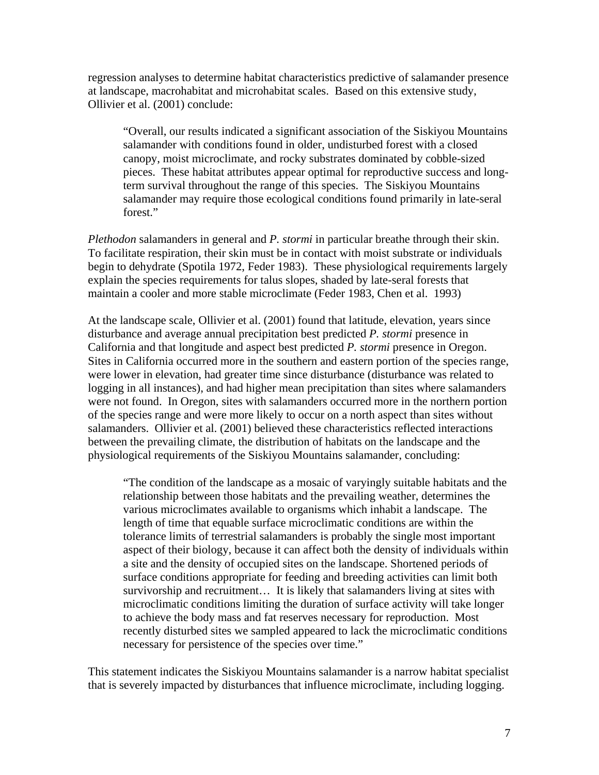regression analyses to determine habitat characteristics predictive of salamander presence at landscape, macrohabitat and microhabitat scales. Based on this extensive study, Ollivier et al. (2001) conclude:

"Overall, our results indicated a significant association of the Siskiyou Mountains salamander with conditions found in older, undisturbed forest with a closed canopy, moist microclimate, and rocky substrates dominated by cobble-sized pieces. These habitat attributes appear optimal for reproductive success and longterm survival throughout the range of this species. The Siskiyou Mountains salamander may require those ecological conditions found primarily in late-seral forest."

*Plethodon* salamanders in general and *P. stormi* in particular breathe through their skin. To facilitate respiration, their skin must be in contact with moist substrate or individuals begin to dehydrate (Spotila 1972, Feder 1983). These physiological requirements largely explain the species requirements for talus slopes, shaded by late-seral forests that maintain a cooler and more stable microclimate (Feder 1983, Chen et al. 1993)

At the landscape scale, Ollivier et al. (2001) found that latitude, elevation, years since disturbance and average annual precipitation best predicted *P. stormi* presence in California and that longitude and aspect best predicted *P. stormi* presence in Oregon. Sites in California occurred more in the southern and eastern portion of the species range, were lower in elevation, had greater time since disturbance (disturbance was related to logging in all instances), and had higher mean precipitation than sites where salamanders were not found. In Oregon, sites with salamanders occurred more in the northern portion of the species range and were more likely to occur on a north aspect than sites without salamanders. Ollivier et al. (2001) believed these characteristics reflected interactions between the prevailing climate, the distribution of habitats on the landscape and the physiological requirements of the Siskiyou Mountains salamander, concluding:

"The condition of the landscape as a mosaic of varyingly suitable habitats and the relationship between those habitats and the prevailing weather, determines the various microclimates available to organisms which inhabit a landscape. The length of time that equable surface microclimatic conditions are within the tolerance limits of terrestrial salamanders is probably the single most important aspect of their biology, because it can affect both the density of individuals within a site and the density of occupied sites on the landscape. Shortened periods of surface conditions appropriate for feeding and breeding activities can limit both survivorship and recruitment… It is likely that salamanders living at sites with microclimatic conditions limiting the duration of surface activity will take longer to achieve the body mass and fat reserves necessary for reproduction. Most recently disturbed sites we sampled appeared to lack the microclimatic conditions necessary for persistence of the species over time."

This statement indicates the Siskiyou Mountains salamander is a narrow habitat specialist that is severely impacted by disturbances that influence microclimate, including logging.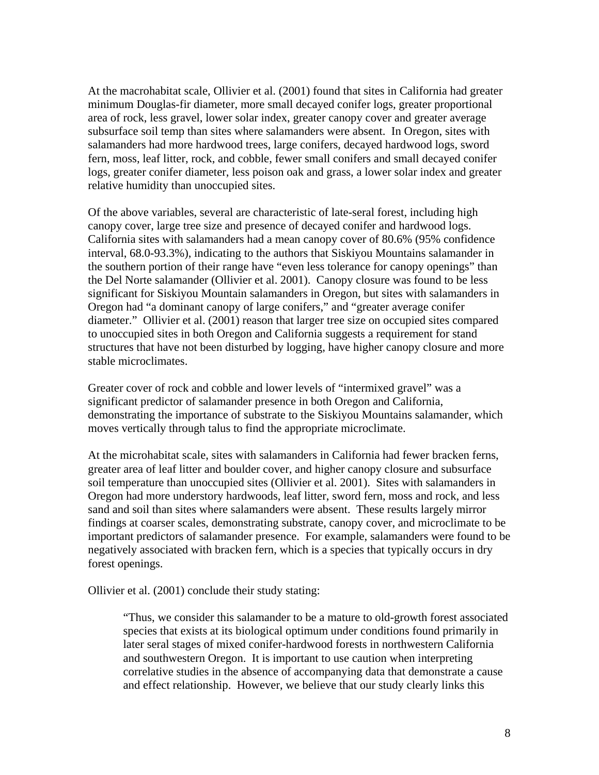At the macrohabitat scale, Ollivier et al. (2001) found that sites in California had greater minimum Douglas-fir diameter, more small decayed conifer logs, greater proportional area of rock, less gravel, lower solar index, greater canopy cover and greater average subsurface soil temp than sites where salamanders were absent. In Oregon, sites with salamanders had more hardwood trees, large conifers, decayed hardwood logs, sword fern, moss, leaf litter, rock, and cobble, fewer small conifers and small decayed conifer logs, greater conifer diameter, less poison oak and grass, a lower solar index and greater relative humidity than unoccupied sites.

Of the above variables, several are characteristic of late-seral forest, including high canopy cover, large tree size and presence of decayed conifer and hardwood logs. California sites with salamanders had a mean canopy cover of 80.6% (95% confidence interval, 68.0-93.3%), indicating to the authors that Siskiyou Mountains salamander in the southern portion of their range have "even less tolerance for canopy openings" than the Del Norte salamander (Ollivier et al. 2001). Canopy closure was found to be less significant for Siskiyou Mountain salamanders in Oregon, but sites with salamanders in Oregon had "a dominant canopy of large conifers," and "greater average conifer diameter." Ollivier et al. (2001) reason that larger tree size on occupied sites compared to unoccupied sites in both Oregon and California suggests a requirement for stand structures that have not been disturbed by logging, have higher canopy closure and more stable microclimates.

Greater cover of rock and cobble and lower levels of "intermixed gravel" was a significant predictor of salamander presence in both Oregon and California, demonstrating the importance of substrate to the Siskiyou Mountains salamander, which moves vertically through talus to find the appropriate microclimate.

At the microhabitat scale, sites with salamanders in California had fewer bracken ferns, greater area of leaf litter and boulder cover, and higher canopy closure and subsurface soil temperature than unoccupied sites (Ollivier et al. 2001). Sites with salamanders in Oregon had more understory hardwoods, leaf litter, sword fern, moss and rock, and less sand and soil than sites where salamanders were absent. These results largely mirror findings at coarser scales, demonstrating substrate, canopy cover, and microclimate to be important predictors of salamander presence. For example, salamanders were found to be negatively associated with bracken fern, which is a species that typically occurs in dry forest openings.

Ollivier et al. (2001) conclude their study stating:

"Thus, we consider this salamander to be a mature to old-growth forest associated species that exists at its biological optimum under conditions found primarily in later seral stages of mixed conifer-hardwood forests in northwestern California and southwestern Oregon. It is important to use caution when interpreting correlative studies in the absence of accompanying data that demonstrate a cause and effect relationship. However, we believe that our study clearly links this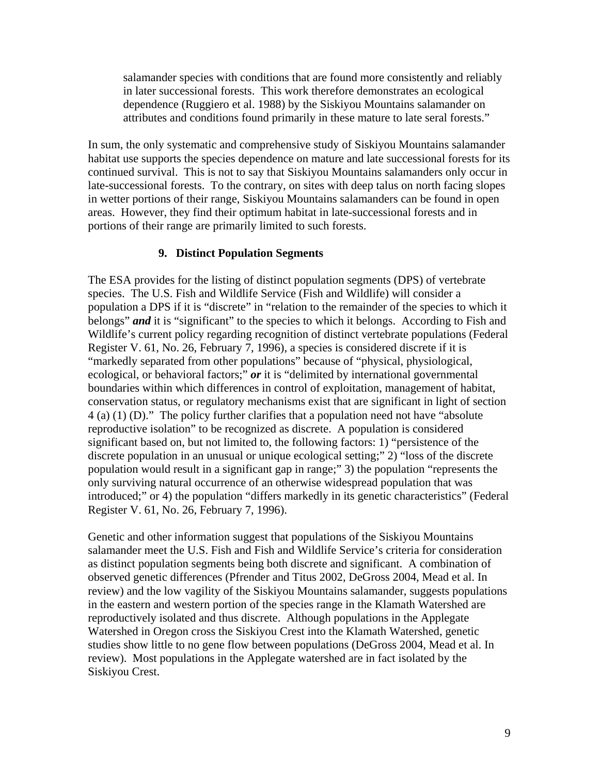salamander species with conditions that are found more consistently and reliably in later successional forests. This work therefore demonstrates an ecological dependence (Ruggiero et al. 1988) by the Siskiyou Mountains salamander on attributes and conditions found primarily in these mature to late seral forests."

In sum, the only systematic and comprehensive study of Siskiyou Mountains salamander habitat use supports the species dependence on mature and late successional forests for its continued survival. This is not to say that Siskiyou Mountains salamanders only occur in late-successional forests. To the contrary, on sites with deep talus on north facing slopes in wetter portions of their range, Siskiyou Mountains salamanders can be found in open areas. However, they find their optimum habitat in late-successional forests and in portions of their range are primarily limited to such forests.

#### **9. Distinct Population Segments**

The ESA provides for the listing of distinct population segments (DPS) of vertebrate species. The U.S. Fish and Wildlife Service (Fish and Wildlife) will consider a population a DPS if it is "discrete" in "relation to the remainder of the species to which it belongs" *and* it is "significant" to the species to which it belongs. According to Fish and Wildlife's current policy regarding recognition of distinct vertebrate populations (Federal Register V. 61, No. 26, February 7, 1996), a species is considered discrete if it is "markedly separated from other populations" because of "physical, physiological, ecological, or behavioral factors;" *or* it is "delimited by international governmental boundaries within which differences in control of exploitation, management of habitat, conservation status, or regulatory mechanisms exist that are significant in light of section 4 (a) (1) (D)." The policy further clarifies that a population need not have "absolute reproductive isolation" to be recognized as discrete. A population is considered significant based on, but not limited to, the following factors: 1) "persistence of the discrete population in an unusual or unique ecological setting;" 2) "loss of the discrete population would result in a significant gap in range;" 3) the population "represents the only surviving natural occurrence of an otherwise widespread population that was introduced;" or 4) the population "differs markedly in its genetic characteristics" (Federal Register V. 61, No. 26, February 7, 1996).

Genetic and other information suggest that populations of the Siskiyou Mountains salamander meet the U.S. Fish and Fish and Wildlife Service's criteria for consideration as distinct population segments being both discrete and significant. A combination of observed genetic differences (Pfrender and Titus 2002, DeGross 2004, Mead et al. In review) and the low vagility of the Siskiyou Mountains salamander, suggests populations in the eastern and western portion of the species range in the Klamath Watershed are reproductively isolated and thus discrete. Although populations in the Applegate Watershed in Oregon cross the Siskiyou Crest into the Klamath Watershed, genetic studies show little to no gene flow between populations (DeGross 2004, Mead et al. In review). Most populations in the Applegate watershed are in fact isolated by the Siskiyou Crest.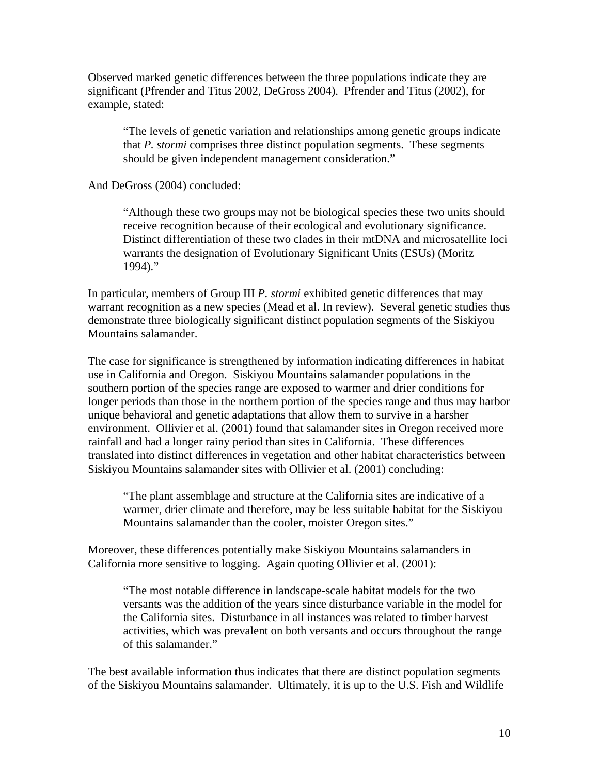Observed marked genetic differences between the three populations indicate they are significant (Pfrender and Titus 2002, DeGross 2004). Pfrender and Titus (2002), for example, stated:

"The levels of genetic variation and relationships among genetic groups indicate that *P. stormi* comprises three distinct population segments. These segments should be given independent management consideration."

And DeGross (2004) concluded:

"Although these two groups may not be biological species these two units should receive recognition because of their ecological and evolutionary significance. Distinct differentiation of these two clades in their mtDNA and microsatellite loci warrants the designation of Evolutionary Significant Units (ESUs) (Moritz 1994)."

In particular, members of Group III *P. stormi* exhibited genetic differences that may warrant recognition as a new species (Mead et al. In review). Several genetic studies thus demonstrate three biologically significant distinct population segments of the Siskiyou Mountains salamander.

The case for significance is strengthened by information indicating differences in habitat use in California and Oregon. Siskiyou Mountains salamander populations in the southern portion of the species range are exposed to warmer and drier conditions for longer periods than those in the northern portion of the species range and thus may harbor unique behavioral and genetic adaptations that allow them to survive in a harsher environment. Ollivier et al. (2001) found that salamander sites in Oregon received more rainfall and had a longer rainy period than sites in California. These differences translated into distinct differences in vegetation and other habitat characteristics between Siskiyou Mountains salamander sites with Ollivier et al. (2001) concluding:

"The plant assemblage and structure at the California sites are indicative of a warmer, drier climate and therefore, may be less suitable habitat for the Siskiyou Mountains salamander than the cooler, moister Oregon sites."

Moreover, these differences potentially make Siskiyou Mountains salamanders in California more sensitive to logging. Again quoting Ollivier et al. (2001):

"The most notable difference in landscape-scale habitat models for the two versants was the addition of the years since disturbance variable in the model for the California sites. Disturbance in all instances was related to timber harvest activities, which was prevalent on both versants and occurs throughout the range of this salamander."

The best available information thus indicates that there are distinct population segments of the Siskiyou Mountains salamander. Ultimately, it is up to the U.S. Fish and Wildlife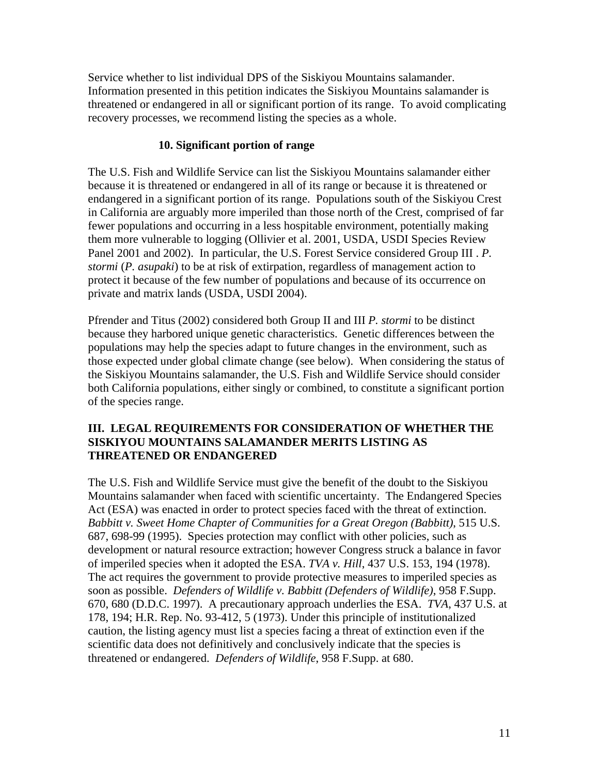Service whether to list individual DPS of the Siskiyou Mountains salamander. Information presented in this petition indicates the Siskiyou Mountains salamander is threatened or endangered in all or significant portion of its range. To avoid complicating recovery processes, we recommend listing the species as a whole.

## **10. Significant portion of range**

The U.S. Fish and Wildlife Service can list the Siskiyou Mountains salamander either because it is threatened or endangered in all of its range or because it is threatened or endangered in a significant portion of its range. Populations south of the Siskiyou Crest in California are arguably more imperiled than those north of the Crest, comprised of far fewer populations and occurring in a less hospitable environment, potentially making them more vulnerable to logging (Ollivier et al. 2001, USDA, USDI Species Review Panel 2001 and 2002). In particular, the U.S. Forest Service considered Group III . *P. stormi* (*P. asupaki*) to be at risk of extirpation, regardless of management action to protect it because of the few number of populations and because of its occurrence on private and matrix lands (USDA, USDI 2004).

Pfrender and Titus (2002) considered both Group II and III *P. stormi* to be distinct because they harbored unique genetic characteristics. Genetic differences between the populations may help the species adapt to future changes in the environment, such as those expected under global climate change (see below). When considering the status of the Siskiyou Mountains salamander, the U.S. Fish and Wildlife Service should consider both California populations, either singly or combined, to constitute a significant portion of the species range.

## **III. LEGAL REQUIREMENTS FOR CONSIDERATION OF WHETHER THE SISKIYOU MOUNTAINS SALAMANDER MERITS LISTING AS THREATENED OR ENDANGERED**

The U.S. Fish and Wildlife Service must give the benefit of the doubt to the Siskiyou Mountains salamander when faced with scientific uncertainty. The Endangered Species Act (ESA) was enacted in order to protect species faced with the threat of extinction. *Babbitt v. Sweet Home Chapter of Communities for a Great Oregon (Babbitt)*, 515 U.S. 687, 698-99 (1995). Species protection may conflict with other policies, such as development or natural resource extraction; however Congress struck a balance in favor of imperiled species when it adopted the ESA. *TVA v. Hill*, 437 U.S. 153, 194 (1978). The act requires the government to provide protective measures to imperiled species as soon as possible. *Defenders of Wildlife v. Babbitt (Defenders of Wildlife)*, 958 F.Supp. 670, 680 (D.D.C. 1997). A precautionary approach underlies the ESA. *TVA*, 437 U.S. at 178, 194; H.R. Rep. No. 93-412, 5 (1973). Under this principle of institutionalized caution, the listing agency must list a species facing a threat of extinction even if the scientific data does not definitively and conclusively indicate that the species is threatened or endangered. *Defenders of Wildlife*, 958 F.Supp. at 680.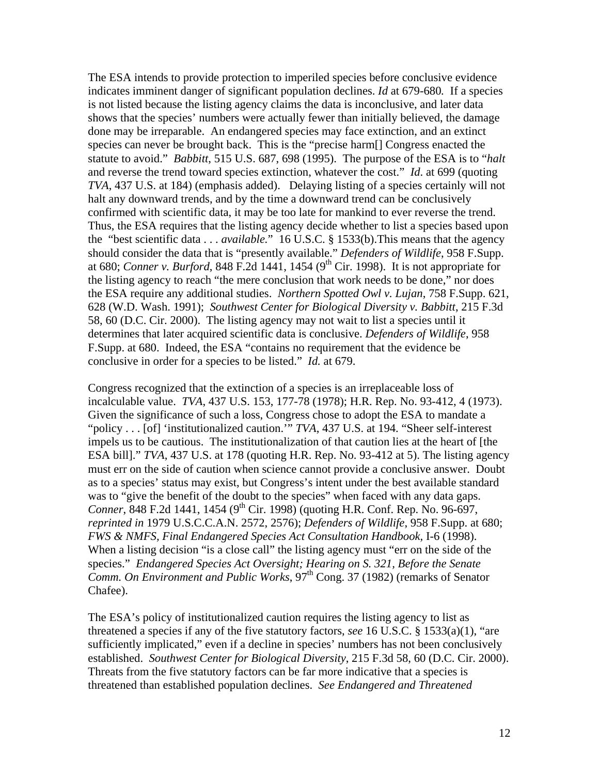The ESA intends to provide protection to imperiled species before conclusive evidence indicates imminent danger of significant population declines. *Id* at 679-680*.* If a species is not listed because the listing agency claims the data is inconclusive, and later data shows that the species' numbers were actually fewer than initially believed, the damage done may be irreparable. An endangered species may face extinction, and an extinct species can never be brought back. This is the "precise harm[] Congress enacted the statute to avoid." *Babbitt*, 515 U.S. 687, 698 (1995). The purpose of the ESA is to "*halt* and reverse the trend toward species extinction, whatever the cost." *Id*. at 699 (quoting *TVA*, 437 U.S. at 184) (emphasis added). Delaying listing of a species certainly will not halt any downward trends, and by the time a downward trend can be conclusively confirmed with scientific data, it may be too late for mankind to ever reverse the trend. Thus, the ESA requires that the listing agency decide whether to list a species based upon the "best scientific data . . . *available.*" 16 U.S.C. § 1533(b).This means that the agency should consider the data that is "presently available." *Defenders of Wildlife*, 958 F.Supp. at 680; *Conner v. Burford*, 848 F.2d 1441, 1454 (9th Cir. 1998). It is not appropriate for the listing agency to reach "the mere conclusion that work needs to be done," nor does the ESA require any additional studies. *Northern Spotted Owl v. Lujan*, 758 F.Supp. 621, 628 (W.D. Wash. 1991); *Southwest Center for Biological Diversity v. Babbitt*, 215 F.3d 58, 60 (D.C. Cir. 2000). The listing agency may not wait to list a species until it determines that later acquired scientific data is conclusive. *Defenders of Wildlife*, 958 F.Supp. at 680. Indeed, the ESA "contains no requirement that the evidence be conclusive in order for a species to be listed." *Id.* at 679.

Congress recognized that the extinction of a species is an irreplaceable loss of incalculable value. *TVA*, 437 U.S. 153, 177-78 (1978); H.R. Rep. No. 93-412, 4 (1973). Given the significance of such a loss, Congress chose to adopt the ESA to mandate a "policy . . . [of] 'institutionalized caution.'" *TVA*, 437 U.S. at 194. "Sheer self-interest impels us to be cautious. The institutionalization of that caution lies at the heart of [the ESA bill]." *TVA*, 437 U.S. at 178 (quoting H.R. Rep. No. 93-412 at 5). The listing agency must err on the side of caution when science cannot provide a conclusive answer. Doubt as to a species' status may exist, but Congress's intent under the best available standard was to "give the benefit of the doubt to the species" when faced with any data gaps. *Conner*, 848 F.2d 1441, 1454 (9<sup>th</sup> Cir. 1998) (quoting H.R. Conf. Rep. No. 96-697, *reprinted in* 1979 U.S.C.C.A.N. 2572, 2576); *Defenders of Wildlife*, 958 F.Supp. at 680; *FWS & NMFS, Final Endangered Species Act Consultation Handbook,* I-6 (1998). When a listing decision "is a close call" the listing agency must "err on the side of the species." *Endangered Species Act Oversight; Hearing on S. 321, Before the Senate Comm. On Environment and Public Works*, 97<sup>th</sup> Cong. 37 (1982) (remarks of Senator Chafee).

The ESA's policy of institutionalized caution requires the listing agency to list as threatened a species if any of the five statutory factors, *see* 16 U.S.C. § 1533(a)(1), "are sufficiently implicated," even if a decline in species' numbers has not been conclusively established. *Southwest Center for Biological Diversity*, 215 F.3d 58, 60 (D.C. Cir. 2000). Threats from the five statutory factors can be far more indicative that a species is threatened than established population declines. *See Endangered and Threatened*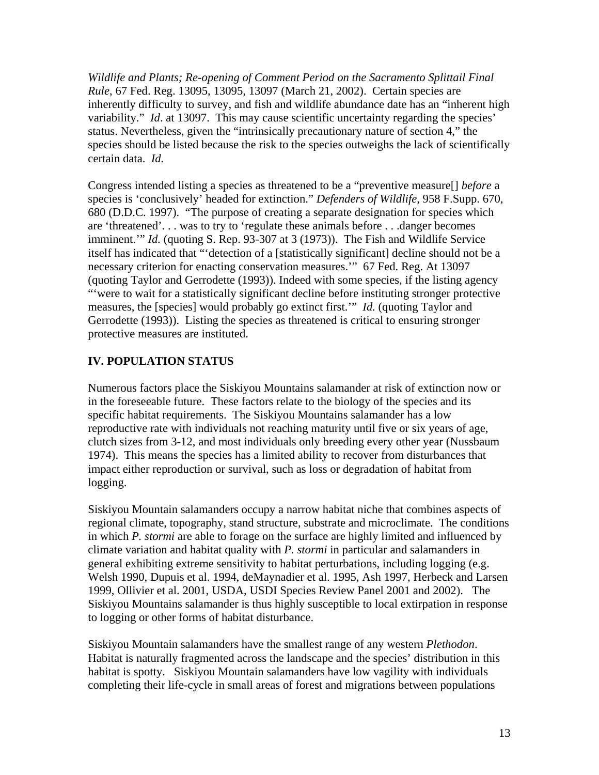*Wildlife and Plants; Re-opening of Comment Period on the Sacramento Splittail Final Rule*, 67 Fed. Reg. 13095, 13095, 13097 (March 21, 2002). Certain species are inherently difficulty to survey, and fish and wildlife abundance date has an "inherent high variability." *Id.* at 13097. This may cause scientific uncertainty regarding the species' status. Nevertheless, given the "intrinsically precautionary nature of section 4," the species should be listed because the risk to the species outweighs the lack of scientifically certain data. *Id.* 

Congress intended listing a species as threatened to be a "preventive measure[] *before* a species is 'conclusively' headed for extinction." *Defenders of Wildlife*, 958 F.Supp. 670, 680 (D.D.C. 1997). "The purpose of creating a separate designation for species which are 'threatened'. . . was to try to 'regulate these animals before . . .danger becomes imminent.'" *Id.* (quoting S. Rep. 93-307 at 3 (1973)). The Fish and Wildlife Service itself has indicated that "'detection of a [statistically significant] decline should not be a necessary criterion for enacting conservation measures.'" 67 Fed. Reg. At 13097 (quoting Taylor and Gerrodette (1993)). Indeed with some species, if the listing agency "'were to wait for a statistically significant decline before instituting stronger protective measures, the [species] would probably go extinct first.'" *Id.* (quoting Taylor and Gerrodette (1993)). Listing the species as threatened is critical to ensuring stronger protective measures are instituted.

## **IV. POPULATION STATUS**

Numerous factors place the Siskiyou Mountains salamander at risk of extinction now or in the foreseeable future. These factors relate to the biology of the species and its specific habitat requirements. The Siskiyou Mountains salamander has a low reproductive rate with individuals not reaching maturity until five or six years of age, clutch sizes from 3-12, and most individuals only breeding every other year (Nussbaum 1974). This means the species has a limited ability to recover from disturbances that impact either reproduction or survival, such as loss or degradation of habitat from logging.

Siskiyou Mountain salamanders occupy a narrow habitat niche that combines aspects of regional climate, topography, stand structure, substrate and microclimate. The conditions in which *P. stormi* are able to forage on the surface are highly limited and influenced by climate variation and habitat quality with *P. stormi* in particular and salamanders in general exhibiting extreme sensitivity to habitat perturbations, including logging (e.g. Welsh 1990, Dupuis et al. 1994, deMaynadier et al. 1995, Ash 1997, Herbeck and Larsen 1999, Ollivier et al. 2001, USDA, USDI Species Review Panel 2001 and 2002). The Siskiyou Mountains salamander is thus highly susceptible to local extirpation in response to logging or other forms of habitat disturbance.

Siskiyou Mountain salamanders have the smallest range of any western *Plethodon*. Habitat is naturally fragmented across the landscape and the species' distribution in this habitat is spotty. Siskiyou Mountain salamanders have low vagility with individuals completing their life-cycle in small areas of forest and migrations between populations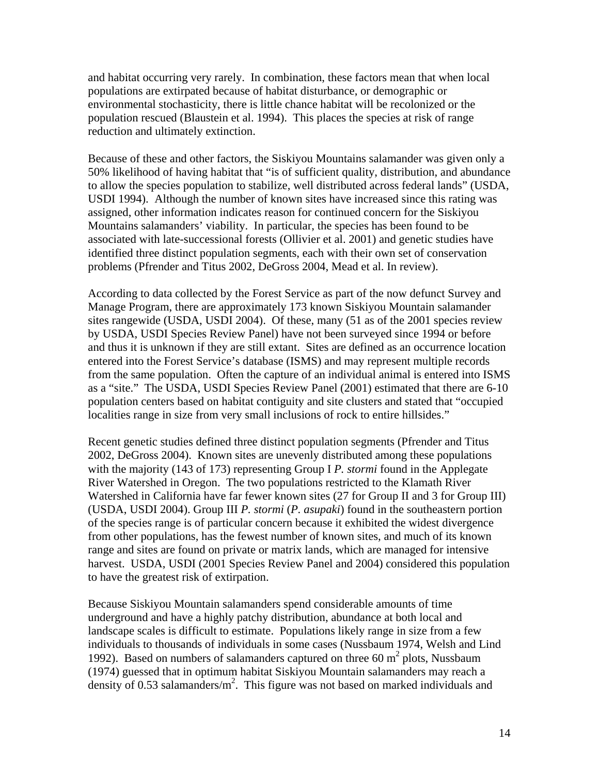and habitat occurring very rarely. In combination, these factors mean that when local populations are extirpated because of habitat disturbance, or demographic or environmental stochasticity, there is little chance habitat will be recolonized or the population rescued (Blaustein et al. 1994). This places the species at risk of range reduction and ultimately extinction.

Because of these and other factors, the Siskiyou Mountains salamander was given only a 50% likelihood of having habitat that "is of sufficient quality, distribution, and abundance to allow the species population to stabilize, well distributed across federal lands" (USDA, USDI 1994). Although the number of known sites have increased since this rating was assigned, other information indicates reason for continued concern for the Siskiyou Mountains salamanders' viability. In particular, the species has been found to be associated with late-successional forests (Ollivier et al. 2001) and genetic studies have identified three distinct population segments, each with their own set of conservation problems (Pfrender and Titus 2002, DeGross 2004, Mead et al. In review).

According to data collected by the Forest Service as part of the now defunct Survey and Manage Program, there are approximately 173 known Siskiyou Mountain salamander sites rangewide (USDA, USDI 2004). Of these, many (51 as of the 2001 species review by USDA, USDI Species Review Panel) have not been surveyed since 1994 or before and thus it is unknown if they are still extant. Sites are defined as an occurrence location entered into the Forest Service's database (ISMS) and may represent multiple records from the same population. Often the capture of an individual animal is entered into ISMS as a "site." The USDA, USDI Species Review Panel (2001) estimated that there are 6-10 population centers based on habitat contiguity and site clusters and stated that "occupied localities range in size from very small inclusions of rock to entire hillsides."

Recent genetic studies defined three distinct population segments (Pfrender and Titus 2002, DeGross 2004). Known sites are unevenly distributed among these populations with the majority (143 of 173) representing Group I *P. stormi* found in the Applegate River Watershed in Oregon. The two populations restricted to the Klamath River Watershed in California have far fewer known sites (27 for Group II and 3 for Group III) (USDA, USDI 2004). Group III *P. stormi* (*P. asupaki*) found in the southeastern portion of the species range is of particular concern because it exhibited the widest divergence from other populations, has the fewest number of known sites, and much of its known range and sites are found on private or matrix lands, which are managed for intensive harvest. USDA, USDI (2001 Species Review Panel and 2004) considered this population to have the greatest risk of extirpation.

Because Siskiyou Mountain salamanders spend considerable amounts of time underground and have a highly patchy distribution, abundance at both local and landscape scales is difficult to estimate. Populations likely range in size from a few individuals to thousands of individuals in some cases (Nussbaum 1974, Welsh and Lind 1992). Based on numbers of salamanders captured on three  $60 \text{ m}^2$  plots, Nussbaum (1974) guessed that in optimum habitat Siskiyou Mountain salamanders may reach a density of 0.53 salamanders/ $m^2$ . This figure was not based on marked individuals and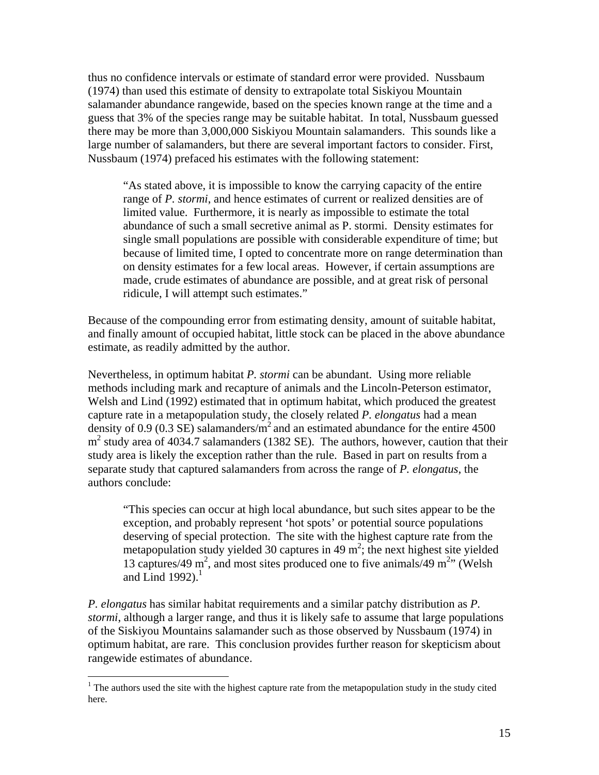thus no confidence intervals or estimate of standard error were provided. Nussbaum (1974) than used this estimate of density to extrapolate total Siskiyou Mountain salamander abundance rangewide, based on the species known range at the time and a guess that 3% of the species range may be suitable habitat. In total, Nussbaum guessed there may be more than 3,000,000 Siskiyou Mountain salamanders. This sounds like a large number of salamanders, but there are several important factors to consider. First, Nussbaum (1974) prefaced his estimates with the following statement:

"As stated above, it is impossible to know the carrying capacity of the entire range of *P. stormi*, and hence estimates of current or realized densities are of limited value. Furthermore, it is nearly as impossible to estimate the total abundance of such a small secretive animal as P. stormi. Density estimates for single small populations are possible with considerable expenditure of time; but because of limited time, I opted to concentrate more on range determination than on density estimates for a few local areas. However, if certain assumptions are made, crude estimates of abundance are possible, and at great risk of personal ridicule, I will attempt such estimates."

Because of the compounding error from estimating density, amount of suitable habitat, and finally amount of occupied habitat, little stock can be placed in the above abundance estimate, as readily admitted by the author.

Nevertheless, in optimum habitat *P. stormi* can be abundant. Using more reliable methods including mark and recapture of animals and the Lincoln-Peterson estimator, Welsh and Lind (1992) estimated that in optimum habitat, which produced the greatest capture rate in a metapopulation study, the closely related *P. elongatus* had a mean density of 0.9 (0.3 SE) salamanders/ $m^2$  and an estimated abundance for the entire 4500  $m<sup>2</sup>$  study area of 4034.7 salamanders (1382 SE). The authors, however, caution that their study area is likely the exception rather than the rule. Based in part on results from a separate study that captured salamanders from across the range of *P. elongatus*, the authors conclude:

"This species can occur at high local abundance, but such sites appear to be the exception, and probably represent 'hot spots' or potential source populations deserving of special protection. The site with the highest capture rate from the metapopulation study yielded 30 captures in 49  $m^2$ ; the next highest site yielded 13 captures/49 m<sup>2</sup>, and most sites produced one to five animals/49 m<sup>2</sup>" (Welsh and Lind 1992). $<sup>1</sup>$ </sup>

*P. elongatus* has similar habitat requirements and a similar patchy distribution as *P. stormi*, although a larger range, and thus it is likely safe to assume that large populations of the Siskiyou Mountains salamander such as those observed by Nussbaum (1974) in optimum habitat, are rare. This conclusion provides further reason for skepticism about rangewide estimates of abundance.

1

 $1$  The authors used the site with the highest capture rate from the metapopulation study in the study cited here.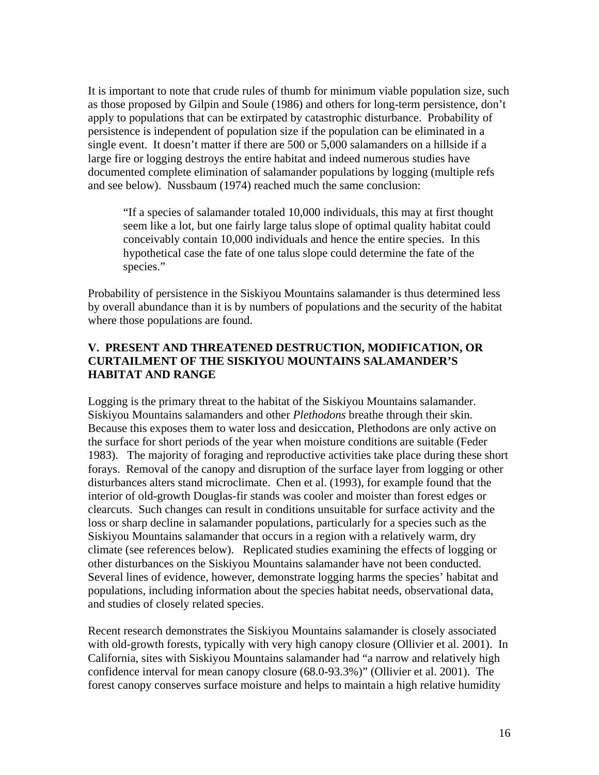It is important to note that crude rules of thumb for minimum viable population size, such as those proposed by Gilpin and Soule (1986) and others for long-term persistence, don't apply to populations that can be extirpated by catastrophic disturbance. Probability of persistence is independent of population size if the population can be eliminated in a single event. It doesn't matter if there are 500 or 5,000 salamanders on a hillside if a large fire or logging destroys the entire habitat and indeed numerous studies have documented complete elimination of salamander populations by logging (multiple refs and see below). Nussbaum (1974) reached much the same conclusion:

"If a species of salamander totaled 10,000 individuals, this may at first thought seem like a lot, but one fairly large talus slope of optimal quality habitat could conceivably contain 10,000 individuals and hence the entire species. In this hypothetical case the fate of one talus slope could determine the fate of the species."

Probability of persistence in the Siskiyou Mountains salamander is thus determined less by overall abundance than it is by numbers of populations and the security of the habitat where those populations are found.

## **V. PRESENT AND THREATENED DESTRUCTION, MODIFICATION, OR CURTAILMENT OF THE SISKIYOU MOUNTAINS SALAMANDER'S HABITAT AND RANGE**

Logging is the primary threat to the habitat of the Siskiyou Mountains salamander. Siskiyou Mountains salamanders and other *Plethodons* breathe through their skin. Because this exposes them to water loss and desiccation, Plethodons are only active on the surface for short periods of the year when moisture conditions are suitable (Feder 1983). The majority of foraging and reproductive activities take place during these short forays. Removal of the canopy and disruption of the surface layer from logging or other disturbances alters stand microclimate. Chen et al. (1993), for example found that the interior of old-growth Douglas-fir stands was cooler and moister than forest edges or clearcuts. Such changes can result in conditions unsuitable for surface activity and the loss or sharp decline in salamander populations, particularly for a species such as the Siskiyou Mountains salamander that occurs in a region with a relatively warm, dry climate (see references below). Replicated studies examining the effects of logging or other disturbances on the Siskiyou Mountains salamander have not been conducted. Several lines of evidence, however, demonstrate logging harms the species' habitat and populations, including information about the species habitat needs, observational data, and studies of closely related species.

Recent research demonstrates the Siskiyou Mountains salamander is closely associated with old-growth forests, typically with very high canopy closure (Ollivier et al. 2001). In California, sites with Siskiyou Mountains salamander had "a narrow and relatively high confidence interval for mean canopy closure (68.0-93.3%)" (Ollivier et al. 2001). The forest canopy conserves surface moisture and helps to maintain a high relative humidity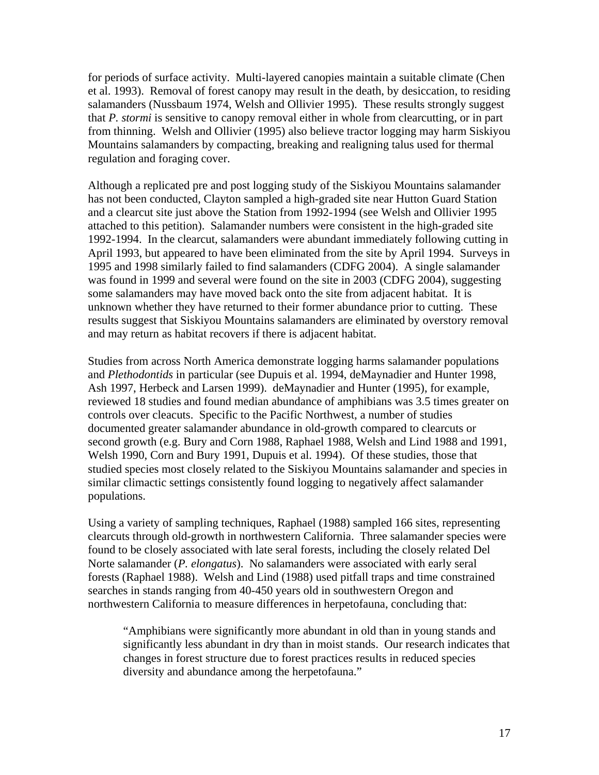for periods of surface activity. Multi-layered canopies maintain a suitable climate (Chen et al. 1993). Removal of forest canopy may result in the death, by desiccation, to residing salamanders (Nussbaum 1974, Welsh and Ollivier 1995). These results strongly suggest that *P. stormi* is sensitive to canopy removal either in whole from clearcutting, or in part from thinning. Welsh and Ollivier (1995) also believe tractor logging may harm Siskiyou Mountains salamanders by compacting, breaking and realigning talus used for thermal regulation and foraging cover.

Although a replicated pre and post logging study of the Siskiyou Mountains salamander has not been conducted, Clayton sampled a high-graded site near Hutton Guard Station and a clearcut site just above the Station from 1992-1994 (see Welsh and Ollivier 1995 attached to this petition). Salamander numbers were consistent in the high-graded site 1992-1994. In the clearcut, salamanders were abundant immediately following cutting in April 1993, but appeared to have been eliminated from the site by April 1994. Surveys in 1995 and 1998 similarly failed to find salamanders (CDFG 2004). A single salamander was found in 1999 and several were found on the site in 2003 (CDFG 2004), suggesting some salamanders may have moved back onto the site from adjacent habitat. It is unknown whether they have returned to their former abundance prior to cutting. These results suggest that Siskiyou Mountains salamanders are eliminated by overstory removal and may return as habitat recovers if there is adjacent habitat.

Studies from across North America demonstrate logging harms salamander populations and *Plethodontids* in particular (see Dupuis et al. 1994, deMaynadier and Hunter 1998, Ash 1997, Herbeck and Larsen 1999). deMaynadier and Hunter (1995), for example, reviewed 18 studies and found median abundance of amphibians was 3.5 times greater on controls over cleacuts. Specific to the Pacific Northwest, a number of studies documented greater salamander abundance in old-growth compared to clearcuts or second growth (e.g. Bury and Corn 1988, Raphael 1988, Welsh and Lind 1988 and 1991, Welsh 1990, Corn and Bury 1991, Dupuis et al. 1994). Of these studies, those that studied species most closely related to the Siskiyou Mountains salamander and species in similar climactic settings consistently found logging to negatively affect salamander populations.

Using a variety of sampling techniques, Raphael (1988) sampled 166 sites, representing clearcuts through old-growth in northwestern California. Three salamander species were found to be closely associated with late seral forests, including the closely related Del Norte salamander (*P. elongatus*). No salamanders were associated with early seral forests (Raphael 1988). Welsh and Lind (1988) used pitfall traps and time constrained searches in stands ranging from 40-450 years old in southwestern Oregon and northwestern California to measure differences in herpetofauna, concluding that:

"Amphibians were significantly more abundant in old than in young stands and significantly less abundant in dry than in moist stands. Our research indicates that changes in forest structure due to forest practices results in reduced species diversity and abundance among the herpetofauna."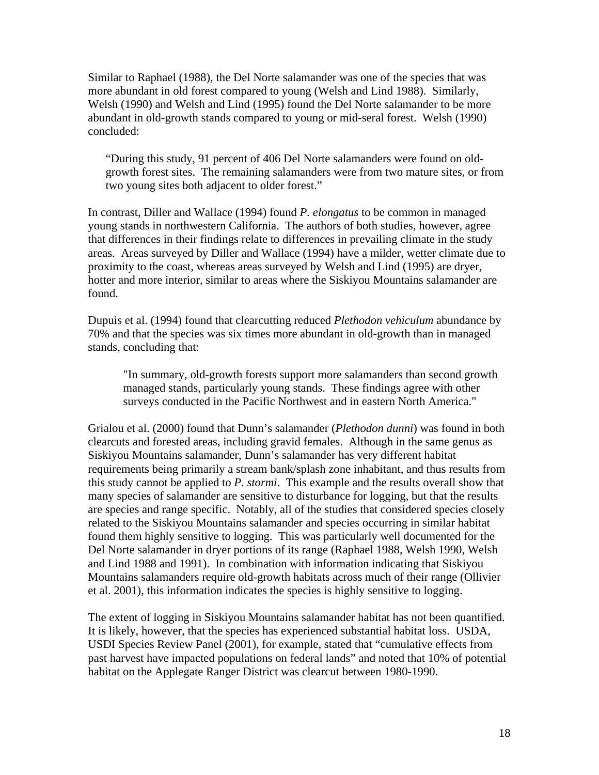Similar to Raphael (1988), the Del Norte salamander was one of the species that was more abundant in old forest compared to young (Welsh and Lind 1988). Similarly, Welsh (1990) and Welsh and Lind (1995) found the Del Norte salamander to be more abundant in old-growth stands compared to young or mid-seral forest. Welsh (1990) concluded:

"During this study, 91 percent of 406 Del Norte salamanders were found on oldgrowth forest sites. The remaining salamanders were from two mature sites, or from two young sites both adjacent to older forest."

In contrast, Diller and Wallace (1994) found *P. elongatus* to be common in managed young stands in northwestern California. The authors of both studies, however, agree that differences in their findings relate to differences in prevailing climate in the study areas. Areas surveyed by Diller and Wallace (1994) have a milder, wetter climate due to proximity to the coast, whereas areas surveyed by Welsh and Lind (1995) are dryer, hotter and more interior, similar to areas where the Siskiyou Mountains salamander are found.

Dupuis et al. (1994) found that clearcutting reduced *Plethodon vehiculum* abundance by 70% and that the species was six times more abundant in old-growth than in managed stands, concluding that:

"In summary, old-growth forests support more salamanders than second growth managed stands, particularly young stands. These findings agree with other surveys conducted in the Pacific Northwest and in eastern North America."

Grialou et al. (2000) found that Dunn's salamander (*Plethodon dunni*) was found in both clearcuts and forested areas, including gravid females. Although in the same genus as Siskiyou Mountains salamander, Dunn's salamander has very different habitat requirements being primarily a stream bank/splash zone inhabitant, and thus results from this study cannot be applied to *P. stormi*. This example and the results overall show that many species of salamander are sensitive to disturbance for logging, but that the results are species and range specific. Notably, all of the studies that considered species closely related to the Siskiyou Mountains salamander and species occurring in similar habitat found them highly sensitive to logging. This was particularly well documented for the Del Norte salamander in dryer portions of its range (Raphael 1988, Welsh 1990, Welsh and Lind 1988 and 1991). In combination with information indicating that Siskiyou Mountains salamanders require old-growth habitats across much of their range (Ollivier et al. 2001), this information indicates the species is highly sensitive to logging.

The extent of logging in Siskiyou Mountains salamander habitat has not been quantified. It is likely, however, that the species has experienced substantial habitat loss. USDA, USDI Species Review Panel (2001), for example, stated that "cumulative effects from past harvest have impacted populations on federal lands" and noted that 10% of potential habitat on the Applegate Ranger District was clearcut between 1980-1990.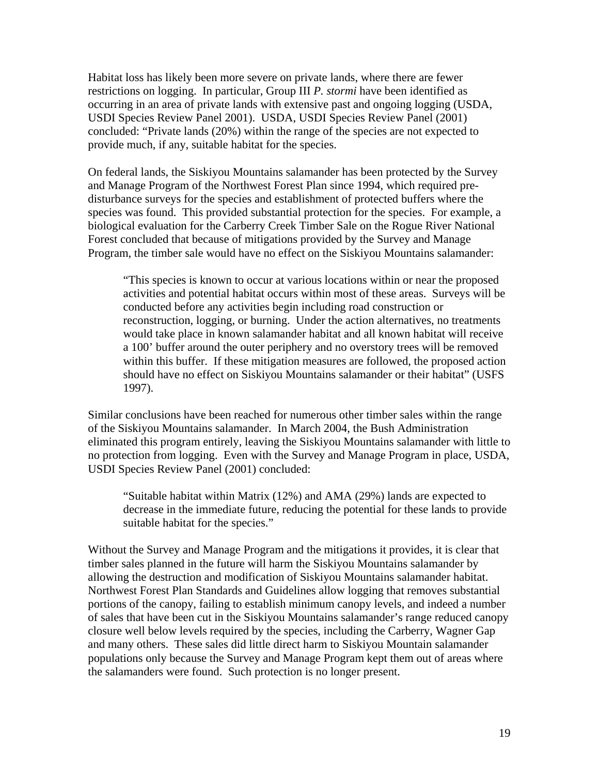Habitat loss has likely been more severe on private lands, where there are fewer restrictions on logging. In particular, Group III *P. stormi* have been identified as occurring in an area of private lands with extensive past and ongoing logging (USDA, USDI Species Review Panel 2001). USDA, USDI Species Review Panel (2001) concluded: "Private lands (20%) within the range of the species are not expected to provide much, if any, suitable habitat for the species.

On federal lands, the Siskiyou Mountains salamander has been protected by the Survey and Manage Program of the Northwest Forest Plan since 1994, which required predisturbance surveys for the species and establishment of protected buffers where the species was found. This provided substantial protection for the species. For example, a biological evaluation for the Carberry Creek Timber Sale on the Rogue River National Forest concluded that because of mitigations provided by the Survey and Manage Program, the timber sale would have no effect on the Siskiyou Mountains salamander:

"This species is known to occur at various locations within or near the proposed activities and potential habitat occurs within most of these areas. Surveys will be conducted before any activities begin including road construction or reconstruction, logging, or burning. Under the action alternatives, no treatments would take place in known salamander habitat and all known habitat will receive a 100' buffer around the outer periphery and no overstory trees will be removed within this buffer. If these mitigation measures are followed, the proposed action should have no effect on Siskiyou Mountains salamander or their habitat" (USFS 1997).

Similar conclusions have been reached for numerous other timber sales within the range of the Siskiyou Mountains salamander. In March 2004, the Bush Administration eliminated this program entirely, leaving the Siskiyou Mountains salamander with little to no protection from logging. Even with the Survey and Manage Program in place, USDA, USDI Species Review Panel (2001) concluded:

"Suitable habitat within Matrix (12%) and AMA (29%) lands are expected to decrease in the immediate future, reducing the potential for these lands to provide suitable habitat for the species."

Without the Survey and Manage Program and the mitigations it provides, it is clear that timber sales planned in the future will harm the Siskiyou Mountains salamander by allowing the destruction and modification of Siskiyou Mountains salamander habitat. Northwest Forest Plan Standards and Guidelines allow logging that removes substantial portions of the canopy, failing to establish minimum canopy levels, and indeed a number of sales that have been cut in the Siskiyou Mountains salamander's range reduced canopy closure well below levels required by the species, including the Carberry, Wagner Gap and many others. These sales did little direct harm to Siskiyou Mountain salamander populations only because the Survey and Manage Program kept them out of areas where the salamanders were found. Such protection is no longer present.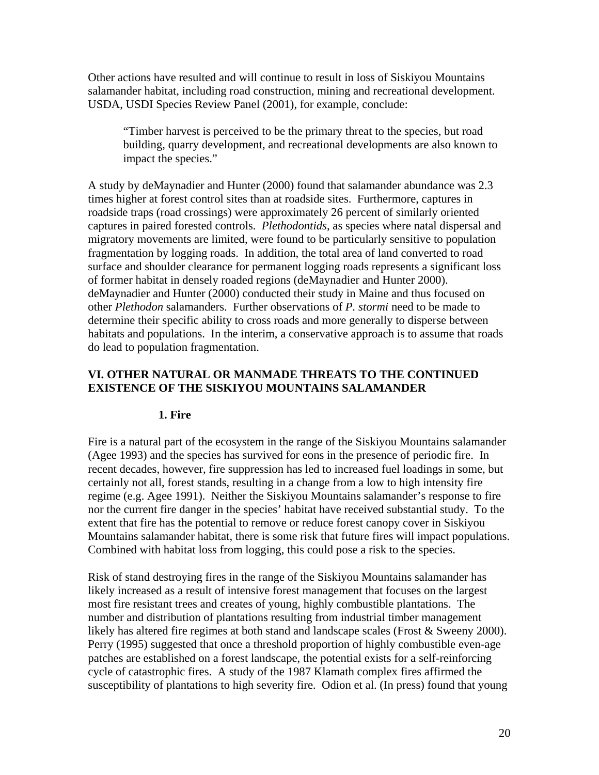Other actions have resulted and will continue to result in loss of Siskiyou Mountains salamander habitat, including road construction, mining and recreational development. USDA, USDI Species Review Panel (2001), for example, conclude:

"Timber harvest is perceived to be the primary threat to the species, but road building, quarry development, and recreational developments are also known to impact the species."

A study by deMaynadier and Hunter (2000) found that salamander abundance was 2.3 times higher at forest control sites than at roadside sites. Furthermore, captures in roadside traps (road crossings) were approximately 26 percent of similarly oriented captures in paired forested controls. *Plethodontids*, as species where natal dispersal and migratory movements are limited, were found to be particularly sensitive to population fragmentation by logging roads. In addition, the total area of land converted to road surface and shoulder clearance for permanent logging roads represents a significant loss of former habitat in densely roaded regions (deMaynadier and Hunter 2000). deMaynadier and Hunter (2000) conducted their study in Maine and thus focused on other *Plethodon* salamanders. Further observations of *P. stormi* need to be made to determine their specific ability to cross roads and more generally to disperse between habitats and populations. In the interim, a conservative approach is to assume that roads do lead to population fragmentation.

## **VI. OTHER NATURAL OR MANMADE THREATS TO THE CONTINUED EXISTENCE OF THE SISKIYOU MOUNTAINS SALAMANDER**

#### **1. Fire**

Fire is a natural part of the ecosystem in the range of the Siskiyou Mountains salamander (Agee 1993) and the species has survived for eons in the presence of periodic fire. In recent decades, however, fire suppression has led to increased fuel loadings in some, but certainly not all, forest stands, resulting in a change from a low to high intensity fire regime (e.g. Agee 1991). Neither the Siskiyou Mountains salamander's response to fire nor the current fire danger in the species' habitat have received substantial study. To the extent that fire has the potential to remove or reduce forest canopy cover in Siskiyou Mountains salamander habitat, there is some risk that future fires will impact populations. Combined with habitat loss from logging, this could pose a risk to the species.

Risk of stand destroying fires in the range of the Siskiyou Mountains salamander has likely increased as a result of intensive forest management that focuses on the largest most fire resistant trees and creates of young, highly combustible plantations. The number and distribution of plantations resulting from industrial timber management likely has altered fire regimes at both stand and landscape scales (Frost & Sweeny 2000). Perry (1995) suggested that once a threshold proportion of highly combustible even-age patches are established on a forest landscape, the potential exists for a self-reinforcing cycle of catastrophic fires. A study of the 1987 Klamath complex fires affirmed the susceptibility of plantations to high severity fire. Odion et al. (In press) found that young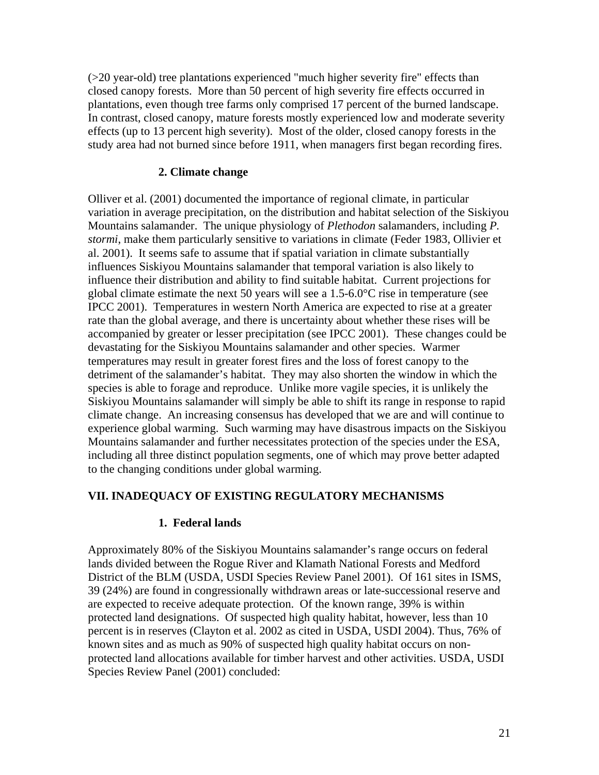(>20 year-old) tree plantations experienced "much higher severity fire" effects than closed canopy forests. More than 50 percent of high severity fire effects occurred in plantations, even though tree farms only comprised 17 percent of the burned landscape. In contrast, closed canopy, mature forests mostly experienced low and moderate severity effects (up to 13 percent high severity). Most of the older, closed canopy forests in the study area had not burned since before 1911, when managers first began recording fires.

## **2. Climate change**

Olliver et al. (2001) documented the importance of regional climate, in particular variation in average precipitation, on the distribution and habitat selection of the Siskiyou Mountains salamander. The unique physiology of *Plethodon* salamanders, including *P. stormi*, make them particularly sensitive to variations in climate (Feder 1983, Ollivier et al. 2001). It seems safe to assume that if spatial variation in climate substantially influences Siskiyou Mountains salamander that temporal variation is also likely to influence their distribution and ability to find suitable habitat. Current projections for global climate estimate the next 50 years will see a 1.5-6.0°C rise in temperature (see IPCC 2001). Temperatures in western North America are expected to rise at a greater rate than the global average, and there is uncertainty about whether these rises will be accompanied by greater or lesser precipitation (see IPCC 2001). These changes could be devastating for the Siskiyou Mountains salamander and other species. Warmer temperatures may result in greater forest fires and the loss of forest canopy to the detriment of the salamander's habitat. They may also shorten the window in which the species is able to forage and reproduce. Unlike more vagile species, it is unlikely the Siskiyou Mountains salamander will simply be able to shift its range in response to rapid climate change. An increasing consensus has developed that we are and will continue to experience global warming. Such warming may have disastrous impacts on the Siskiyou Mountains salamander and further necessitates protection of the species under the ESA, including all three distinct population segments, one of which may prove better adapted to the changing conditions under global warming.

## **VII. INADEQUACY OF EXISTING REGULATORY MECHANISMS**

## **1. Federal lands**

Approximately 80% of the Siskiyou Mountains salamander's range occurs on federal lands divided between the Rogue River and Klamath National Forests and Medford District of the BLM (USDA, USDI Species Review Panel 2001). Of 161 sites in ISMS, 39 (24%) are found in congressionally withdrawn areas or late-successional reserve and are expected to receive adequate protection. Of the known range, 39% is within protected land designations. Of suspected high quality habitat, however, less than 10 percent is in reserves (Clayton et al. 2002 as cited in USDA, USDI 2004). Thus, 76% of known sites and as much as 90% of suspected high quality habitat occurs on nonprotected land allocations available for timber harvest and other activities. USDA, USDI Species Review Panel (2001) concluded: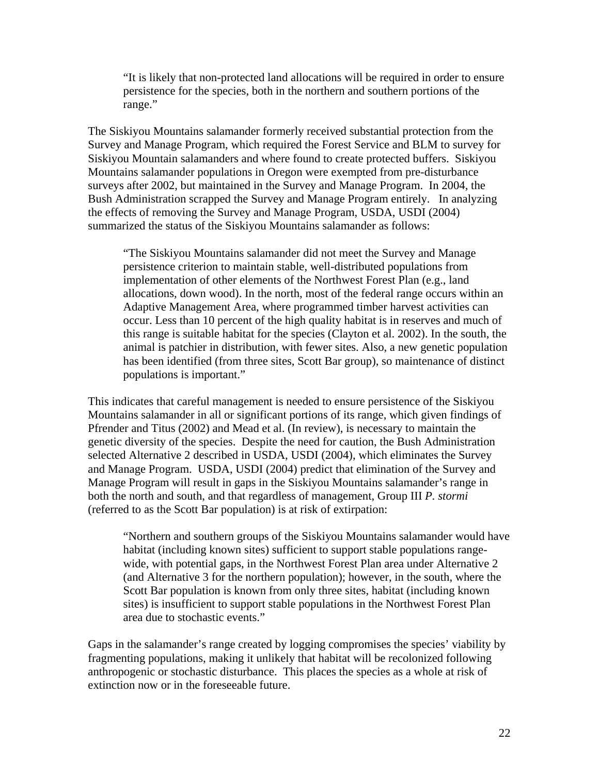"It is likely that non-protected land allocations will be required in order to ensure persistence for the species, both in the northern and southern portions of the range."

The Siskiyou Mountains salamander formerly received substantial protection from the Survey and Manage Program, which required the Forest Service and BLM to survey for Siskiyou Mountain salamanders and where found to create protected buffers. Siskiyou Mountains salamander populations in Oregon were exempted from pre-disturbance surveys after 2002, but maintained in the Survey and Manage Program. In 2004, the Bush Administration scrapped the Survey and Manage Program entirely. In analyzing the effects of removing the Survey and Manage Program, USDA, USDI (2004) summarized the status of the Siskiyou Mountains salamander as follows:

"The Siskiyou Mountains salamander did not meet the Survey and Manage persistence criterion to maintain stable, well-distributed populations from implementation of other elements of the Northwest Forest Plan (e.g., land allocations, down wood). In the north, most of the federal range occurs within an Adaptive Management Area, where programmed timber harvest activities can occur. Less than 10 percent of the high quality habitat is in reserves and much of this range is suitable habitat for the species (Clayton et al. 2002). In the south, the animal is patchier in distribution, with fewer sites. Also, a new genetic population has been identified (from three sites, Scott Bar group), so maintenance of distinct populations is important."

This indicates that careful management is needed to ensure persistence of the Siskiyou Mountains salamander in all or significant portions of its range, which given findings of Pfrender and Titus (2002) and Mead et al. (In review), is necessary to maintain the genetic diversity of the species. Despite the need for caution, the Bush Administration selected Alternative 2 described in USDA, USDI (2004), which eliminates the Survey and Manage Program. USDA, USDI (2004) predict that elimination of the Survey and Manage Program will result in gaps in the Siskiyou Mountains salamander's range in both the north and south, and that regardless of management, Group III *P. stormi* (referred to as the Scott Bar population) is at risk of extirpation:

"Northern and southern groups of the Siskiyou Mountains salamander would have habitat (including known sites) sufficient to support stable populations rangewide, with potential gaps, in the Northwest Forest Plan area under Alternative 2 (and Alternative 3 for the northern population); however, in the south, where the Scott Bar population is known from only three sites, habitat (including known sites) is insufficient to support stable populations in the Northwest Forest Plan area due to stochastic events."

Gaps in the salamander's range created by logging compromises the species' viability by fragmenting populations, making it unlikely that habitat will be recolonized following anthropogenic or stochastic disturbance. This places the species as a whole at risk of extinction now or in the foreseeable future.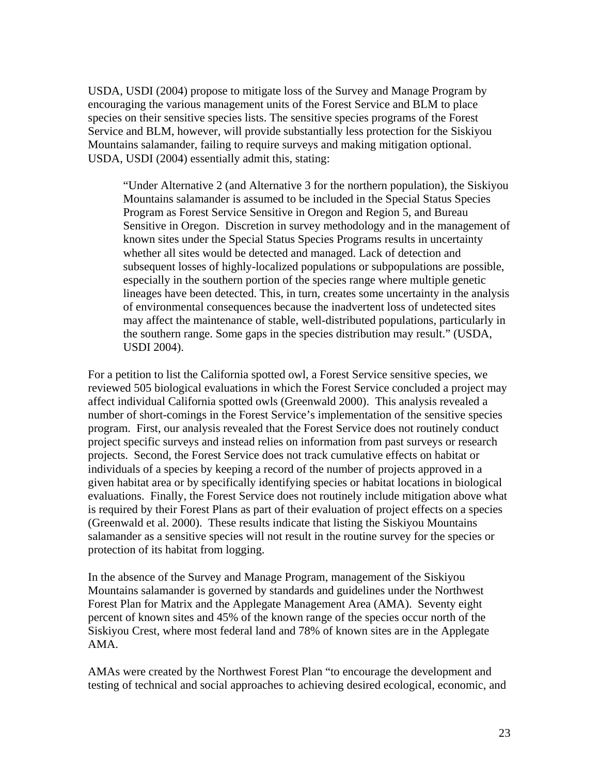USDA, USDI (2004) propose to mitigate loss of the Survey and Manage Program by encouraging the various management units of the Forest Service and BLM to place species on their sensitive species lists. The sensitive species programs of the Forest Service and BLM, however, will provide substantially less protection for the Siskiyou Mountains salamander, failing to require surveys and making mitigation optional. USDA, USDI (2004) essentially admit this, stating:

"Under Alternative 2 (and Alternative 3 for the northern population), the Siskiyou Mountains salamander is assumed to be included in the Special Status Species Program as Forest Service Sensitive in Oregon and Region 5, and Bureau Sensitive in Oregon. Discretion in survey methodology and in the management of known sites under the Special Status Species Programs results in uncertainty whether all sites would be detected and managed. Lack of detection and subsequent losses of highly-localized populations or subpopulations are possible, especially in the southern portion of the species range where multiple genetic lineages have been detected. This, in turn, creates some uncertainty in the analysis of environmental consequences because the inadvertent loss of undetected sites may affect the maintenance of stable, well-distributed populations, particularly in the southern range. Some gaps in the species distribution may result." (USDA, USDI 2004).

For a petition to list the California spotted owl, a Forest Service sensitive species, we reviewed 505 biological evaluations in which the Forest Service concluded a project may affect individual California spotted owls (Greenwald 2000). This analysis revealed a number of short-comings in the Forest Service's implementation of the sensitive species program. First, our analysis revealed that the Forest Service does not routinely conduct project specific surveys and instead relies on information from past surveys or research projects. Second, the Forest Service does not track cumulative effects on habitat or individuals of a species by keeping a record of the number of projects approved in a given habitat area or by specifically identifying species or habitat locations in biological evaluations. Finally, the Forest Service does not routinely include mitigation above what is required by their Forest Plans as part of their evaluation of project effects on a species (Greenwald et al. 2000). These results indicate that listing the Siskiyou Mountains salamander as a sensitive species will not result in the routine survey for the species or protection of its habitat from logging.

In the absence of the Survey and Manage Program, management of the Siskiyou Mountains salamander is governed by standards and guidelines under the Northwest Forest Plan for Matrix and the Applegate Management Area (AMA). Seventy eight percent of known sites and 45% of the known range of the species occur north of the Siskiyou Crest, where most federal land and 78% of known sites are in the Applegate AMA.

AMAs were created by the Northwest Forest Plan "to encourage the development and testing of technical and social approaches to achieving desired ecological, economic, and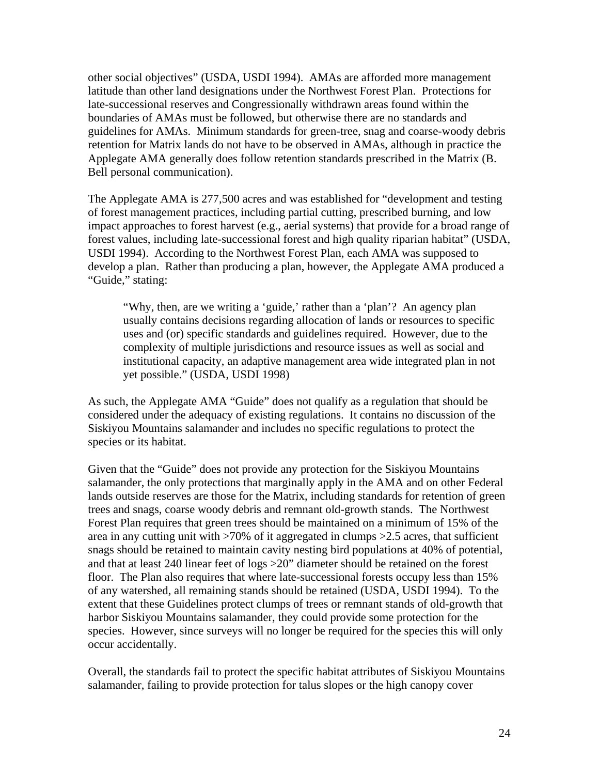other social objectives" (USDA, USDI 1994). AMAs are afforded more management latitude than other land designations under the Northwest Forest Plan. Protections for late-successional reserves and Congressionally withdrawn areas found within the boundaries of AMAs must be followed, but otherwise there are no standards and guidelines for AMAs. Minimum standards for green-tree, snag and coarse-woody debris retention for Matrix lands do not have to be observed in AMAs, although in practice the Applegate AMA generally does follow retention standards prescribed in the Matrix (B. Bell personal communication).

The Applegate AMA is 277,500 acres and was established for "development and testing of forest management practices, including partial cutting, prescribed burning, and low impact approaches to forest harvest (e.g., aerial systems) that provide for a broad range of forest values, including late-successional forest and high quality riparian habitat" (USDA, USDI 1994). According to the Northwest Forest Plan, each AMA was supposed to develop a plan. Rather than producing a plan, however, the Applegate AMA produced a "Guide," stating:

"Why, then, are we writing a 'guide,' rather than a 'plan'? An agency plan usually contains decisions regarding allocation of lands or resources to specific uses and (or) specific standards and guidelines required. However, due to the complexity of multiple jurisdictions and resource issues as well as social and institutional capacity, an adaptive management area wide integrated plan in not yet possible." (USDA, USDI 1998)

As such, the Applegate AMA "Guide" does not qualify as a regulation that should be considered under the adequacy of existing regulations. It contains no discussion of the Siskiyou Mountains salamander and includes no specific regulations to protect the species or its habitat.

Given that the "Guide" does not provide any protection for the Siskiyou Mountains salamander, the only protections that marginally apply in the AMA and on other Federal lands outside reserves are those for the Matrix, including standards for retention of green trees and snags, coarse woody debris and remnant old-growth stands. The Northwest Forest Plan requires that green trees should be maintained on a minimum of 15% of the area in any cutting unit with >70% of it aggregated in clumps >2.5 acres, that sufficient snags should be retained to maintain cavity nesting bird populations at 40% of potential, and that at least 240 linear feet of logs >20" diameter should be retained on the forest floor. The Plan also requires that where late-successional forests occupy less than 15% of any watershed, all remaining stands should be retained (USDA, USDI 1994). To the extent that these Guidelines protect clumps of trees or remnant stands of old-growth that harbor Siskiyou Mountains salamander, they could provide some protection for the species. However, since surveys will no longer be required for the species this will only occur accidentally.

Overall, the standards fail to protect the specific habitat attributes of Siskiyou Mountains salamander, failing to provide protection for talus slopes or the high canopy cover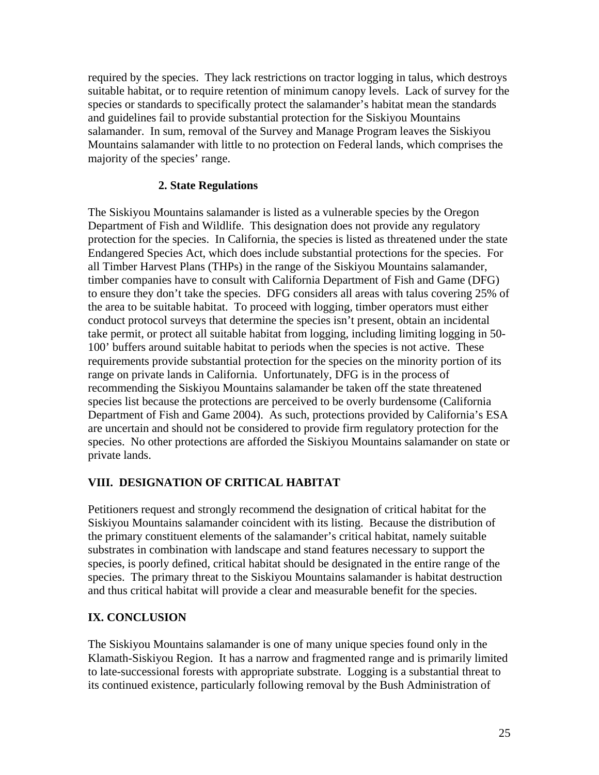required by the species. They lack restrictions on tractor logging in talus, which destroys suitable habitat, or to require retention of minimum canopy levels. Lack of survey for the species or standards to specifically protect the salamander's habitat mean the standards and guidelines fail to provide substantial protection for the Siskiyou Mountains salamander. In sum, removal of the Survey and Manage Program leaves the Siskiyou Mountains salamander with little to no protection on Federal lands, which comprises the majority of the species' range.

## **2. State Regulations**

The Siskiyou Mountains salamander is listed as a vulnerable species by the Oregon Department of Fish and Wildlife. This designation does not provide any regulatory protection for the species. In California, the species is listed as threatened under the state Endangered Species Act, which does include substantial protections for the species. For all Timber Harvest Plans (THPs) in the range of the Siskiyou Mountains salamander, timber companies have to consult with California Department of Fish and Game (DFG) to ensure they don't take the species. DFG considers all areas with talus covering 25% of the area to be suitable habitat. To proceed with logging, timber operators must either conduct protocol surveys that determine the species isn't present, obtain an incidental take permit, or protect all suitable habitat from logging, including limiting logging in 50- 100' buffers around suitable habitat to periods when the species is not active. These requirements provide substantial protection for the species on the minority portion of its range on private lands in California. Unfortunately, DFG is in the process of recommending the Siskiyou Mountains salamander be taken off the state threatened species list because the protections are perceived to be overly burdensome (California Department of Fish and Game 2004). As such, protections provided by California's ESA are uncertain and should not be considered to provide firm regulatory protection for the species. No other protections are afforded the Siskiyou Mountains salamander on state or private lands.

## **VIII. DESIGNATION OF CRITICAL HABITAT**

Petitioners request and strongly recommend the designation of critical habitat for the Siskiyou Mountains salamander coincident with its listing. Because the distribution of the primary constituent elements of the salamander's critical habitat, namely suitable substrates in combination with landscape and stand features necessary to support the species, is poorly defined, critical habitat should be designated in the entire range of the species. The primary threat to the Siskiyou Mountains salamander is habitat destruction and thus critical habitat will provide a clear and measurable benefit for the species.

#### **IX. CONCLUSION**

The Siskiyou Mountains salamander is one of many unique species found only in the Klamath-Siskiyou Region. It has a narrow and fragmented range and is primarily limited to late-successional forests with appropriate substrate. Logging is a substantial threat to its continued existence, particularly following removal by the Bush Administration of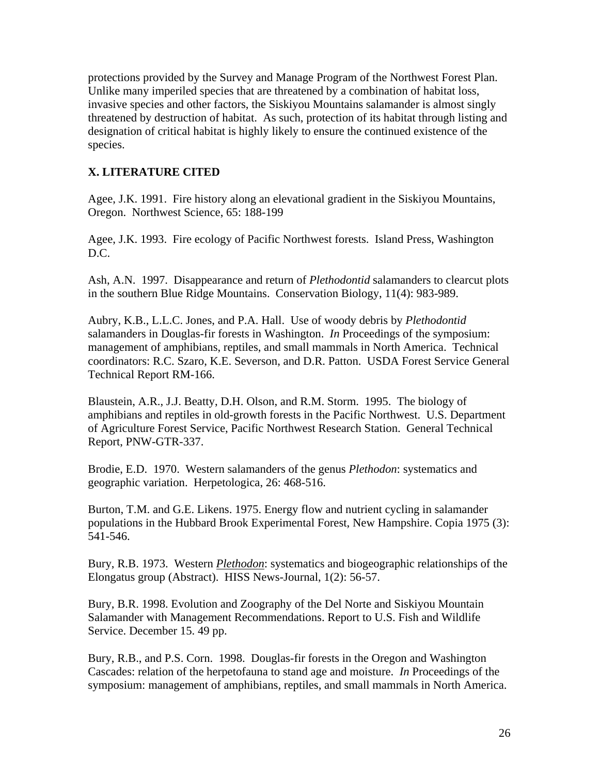protections provided by the Survey and Manage Program of the Northwest Forest Plan. Unlike many imperiled species that are threatened by a combination of habitat loss, invasive species and other factors, the Siskiyou Mountains salamander is almost singly threatened by destruction of habitat. As such, protection of its habitat through listing and designation of critical habitat is highly likely to ensure the continued existence of the species.

## **X. LITERATURE CITED**

Agee, J.K. 1991. Fire history along an elevational gradient in the Siskiyou Mountains, Oregon. Northwest Science, 65: 188-199

Agee, J.K. 1993. Fire ecology of Pacific Northwest forests. Island Press, Washington D.C.

Ash, A.N. 1997. Disappearance and return of *Plethodontid* salamanders to clearcut plots in the southern Blue Ridge Mountains. Conservation Biology, 11(4): 983-989.

Aubry, K.B., L.L.C. Jones, and P.A. Hall. Use of woody debris by *Plethodontid* salamanders in Douglas-fir forests in Washington. *In* Proceedings of the symposium: management of amphibians, reptiles, and small mammals in North America. Technical coordinators: R.C. Szaro, K.E. Severson, and D.R. Patton. USDA Forest Service General Technical Report RM-166.

Blaustein, A.R., J.J. Beatty, D.H. Olson, and R.M. Storm. 1995. The biology of amphibians and reptiles in old-growth forests in the Pacific Northwest. U.S. Department of Agriculture Forest Service, Pacific Northwest Research Station. General Technical Report, PNW-GTR-337.

Brodie, E.D. 1970. Western salamanders of the genus *Plethodon*: systematics and geographic variation. Herpetologica, 26: 468-516.

Burton, T.M. and G.E. Likens. 1975. Energy flow and nutrient cycling in salamander populations in the Hubbard Brook Experimental Forest, New Hampshire. Copia 1975 (3): 541-546.

Bury, R.B. 1973. Western *Plethodon*: systematics and biogeographic relationships of the Elongatus group (Abstract). HISS News-Journal, 1(2): 56-57.

Bury, B.R. 1998. Evolution and Zoography of the Del Norte and Siskiyou Mountain Salamander with Management Recommendations. Report to U.S. Fish and Wildlife Service. December 15. 49 pp.

Bury, R.B., and P.S. Corn. 1998. Douglas-fir forests in the Oregon and Washington Cascades: relation of the herpetofauna to stand age and moisture. *In* Proceedings of the symposium: management of amphibians, reptiles, and small mammals in North America.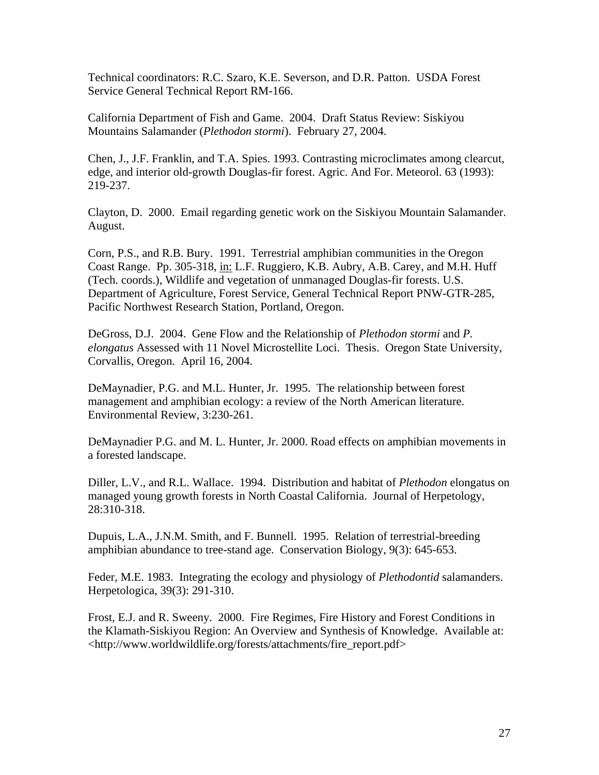Technical coordinators: R.C. Szaro, K.E. Severson, and D.R. Patton. USDA Forest Service General Technical Report RM-166.

California Department of Fish and Game. 2004. Draft Status Review: Siskiyou Mountains Salamander (*Plethodon stormi*). February 27, 2004.

Chen, J., J.F. Franklin, and T.A. Spies. 1993. Contrasting microclimates among clearcut, edge, and interior old-growth Douglas-fir forest. Agric. And For. Meteorol. 63 (1993): 219-237.

Clayton, D. 2000. Email regarding genetic work on the Siskiyou Mountain Salamander. August.

Corn, P.S., and R.B. Bury. 1991. Terrestrial amphibian communities in the Oregon Coast Range. Pp. 305-318, in: L.F. Ruggiero, K.B. Aubry, A.B. Carey, and M.H. Huff (Tech. coords.), Wildlife and vegetation of unmanaged Douglas-fir forests. U.S. Department of Agriculture, Forest Service, General Technical Report PNW-GTR-285, Pacific Northwest Research Station, Portland, Oregon.

DeGross, D.J. 2004. Gene Flow and the Relationship of *Plethodon stormi* and *P. elongatus* Assessed with 11 Novel Microstellite Loci. Thesis. Oregon State University, Corvallis, Oregon. April 16, 2004.

DeMaynadier, P.G. and M.L. Hunter, Jr. 1995. The relationship between forest management and amphibian ecology: a review of the North American literature. Environmental Review, 3:230-261.

DeMaynadier P.G. and M. L. Hunter, Jr. 2000. Road effects on amphibian movements in a forested landscape.

Diller, L.V., and R.L. Wallace. 1994. Distribution and habitat of *Plethodon* elongatus on managed young growth forests in North Coastal California. Journal of Herpetology, 28:310-318.

Dupuis, L.A., J.N.M. Smith, and F. Bunnell. 1995. Relation of terrestrial-breeding amphibian abundance to tree-stand age. Conservation Biology, 9(3): 645-653.

Feder, M.E. 1983. Integrating the ecology and physiology of *Plethodontid* salamanders. Herpetologica, 39(3): 291-310.

Frost, E.J. and R. Sweeny. 2000. Fire Regimes, Fire History and Forest Conditions in the Klamath-Siskiyou Region: An Overview and Synthesis of Knowledge. Available at: <http://www.worldwildlife.org/forests/attachments/fire\_report.pdf>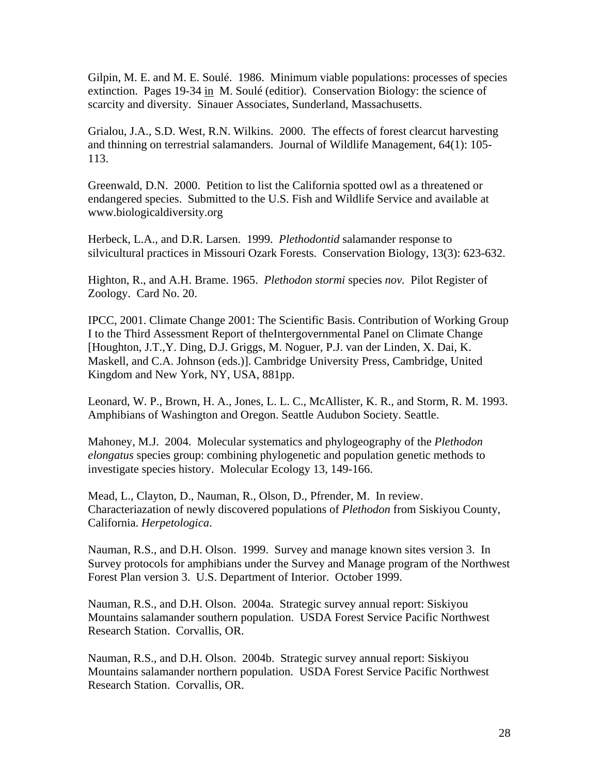Gilpin, M. E. and M. E. Soulé. 1986. Minimum viable populations: processes of species extinction. Pages 19-34 in M. Soulé (editior). Conservation Biology: the science of scarcity and diversity. Sinauer Associates, Sunderland, Massachusetts.

Grialou, J.A., S.D. West, R.N. Wilkins. 2000. The effects of forest clearcut harvesting and thinning on terrestrial salamanders. Journal of Wildlife Management, 64(1): 105- 113.

Greenwald, D.N. 2000. Petition to list the California spotted owl as a threatened or endangered species. Submitted to the U.S. Fish and Wildlife Service and available at www.biologicaldiversity.org

Herbeck, L.A., and D.R. Larsen. 1999. *Plethodontid* salamander response to silvicultural practices in Missouri Ozark Forests. Conservation Biology, 13(3): 623-632.

Highton, R., and A.H. Brame. 1965. *Plethodon stormi* species *nov.* Pilot Register of Zoology. Card No. 20.

IPCC, 2001. Climate Change 2001: The Scientific Basis. Contribution of Working Group I to the Third Assessment Report of theIntergovernmental Panel on Climate Change [Houghton, J.T.,Y. Ding, D.J. Griggs, M. Noguer, P.J. van der Linden, X. Dai, K. Maskell, and C.A. Johnson (eds.)]. Cambridge University Press, Cambridge, United Kingdom and New York, NY, USA, 881pp.

Leonard, W. P., Brown, H. A., Jones, L. L. C., McAllister, K. R., and Storm, R. M. 1993. Amphibians of Washington and Oregon. Seattle Audubon Society. Seattle.

Mahoney, M.J. 2004. Molecular systematics and phylogeography of the *Plethodon elongatus* species group: combining phylogenetic and population genetic methods to investigate species history. Molecular Ecology 13, 149-166.

Mead, L., Clayton, D., Nauman, R., Olson, D., Pfrender, M. In review. Characteriazation of newly discovered populations of *Plethodon* from Siskiyou County, California. *Herpetologica*.

Nauman, R.S., and D.H. Olson. 1999. Survey and manage known sites version 3. In Survey protocols for amphibians under the Survey and Manage program of the Northwest Forest Plan version 3. U.S. Department of Interior. October 1999.

Nauman, R.S., and D.H. Olson. 2004a. Strategic survey annual report: Siskiyou Mountains salamander southern population. USDA Forest Service Pacific Northwest Research Station. Corvallis, OR.

Nauman, R.S., and D.H. Olson. 2004b. Strategic survey annual report: Siskiyou Mountains salamander northern population. USDA Forest Service Pacific Northwest Research Station. Corvallis, OR.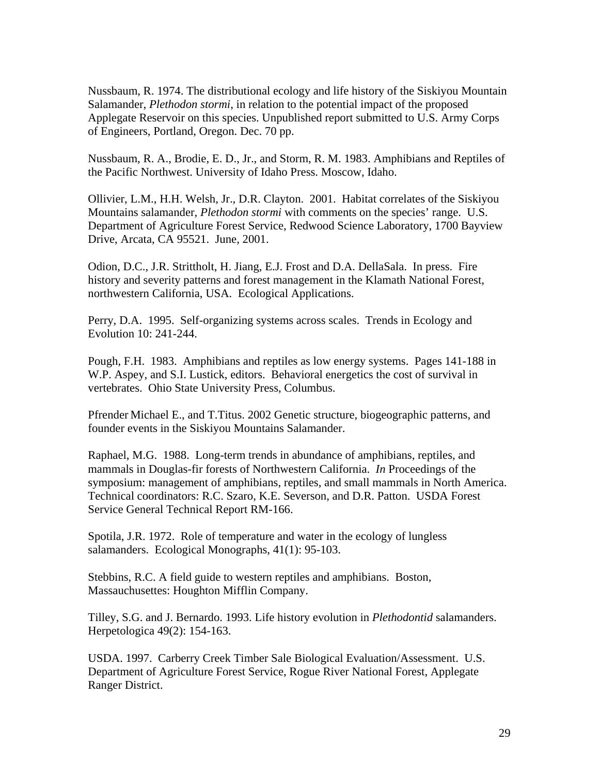Nussbaum, R. 1974. The distributional ecology and life history of the Siskiyou Mountain Salamander, *Plethodon stormi*, in relation to the potential impact of the proposed Applegate Reservoir on this species. Unpublished report submitted to U.S. Army Corps of Engineers, Portland, Oregon. Dec. 70 pp.

Nussbaum, R. A., Brodie, E. D., Jr., and Storm, R. M. 1983. Amphibians and Reptiles of the Pacific Northwest. University of Idaho Press. Moscow, Idaho.

Ollivier, L.M., H.H. Welsh, Jr., D.R. Clayton. 2001. Habitat correlates of the Siskiyou Mountains salamander, *Plethodon stormi* with comments on the species' range. U.S. Department of Agriculture Forest Service, Redwood Science Laboratory, 1700 Bayview Drive, Arcata, CA 95521. June, 2001.

Odion, D.C., J.R. Strittholt, H. Jiang, E.J. Frost and D.A. DellaSala. In press. Fire history and severity patterns and forest management in the Klamath National Forest, northwestern California, USA. Ecological Applications.

Perry, D.A. 1995. Self-organizing systems across scales. Trends in Ecology and Evolution 10: 241-244.

Pough, F.H. 1983. Amphibians and reptiles as low energy systems. Pages 141-188 in W.P. Aspey, and S.I. Lustick, editors. Behavioral energetics the cost of survival in vertebrates. Ohio State University Press, Columbus.

Pfrender Michael E., and T.Titus. 2002 Genetic structure, biogeographic patterns, and founder events in the Siskiyou Mountains Salamander.

Raphael, M.G. 1988. Long-term trends in abundance of amphibians, reptiles, and mammals in Douglas-fir forests of Northwestern California. *In* Proceedings of the symposium: management of amphibians, reptiles, and small mammals in North America. Technical coordinators: R.C. Szaro, K.E. Severson, and D.R. Patton. USDA Forest Service General Technical Report RM-166.

Spotila, J.R. 1972. Role of temperature and water in the ecology of lungless salamanders. Ecological Monographs, 41(1): 95-103.

Stebbins, R.C. A field guide to western reptiles and amphibians. Boston, Massauchusettes: Houghton Mifflin Company.

Tilley, S.G. and J. Bernardo. 1993. Life history evolution in *Plethodontid* salamanders. Herpetologica 49(2): 154-163.

USDA. 1997. Carberry Creek Timber Sale Biological Evaluation/Assessment. U.S. Department of Agriculture Forest Service, Rogue River National Forest, Applegate Ranger District.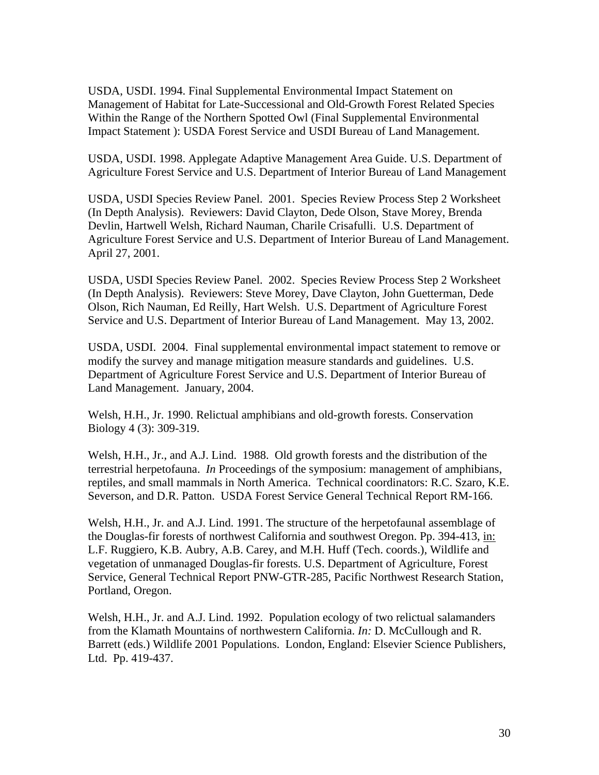USDA, USDI. 1994. Final Supplemental Environmental Impact Statement on Management of Habitat for Late-Successional and Old-Growth Forest Related Species Within the Range of the Northern Spotted Owl (Final Supplemental Environmental Impact Statement ): USDA Forest Service and USDI Bureau of Land Management.

USDA, USDI. 1998. Applegate Adaptive Management Area Guide. U.S. Department of Agriculture Forest Service and U.S. Department of Interior Bureau of Land Management

USDA, USDI Species Review Panel. 2001. Species Review Process Step 2 Worksheet (In Depth Analysis). Reviewers: David Clayton, Dede Olson, Stave Morey, Brenda Devlin, Hartwell Welsh, Richard Nauman, Charile Crisafulli. U.S. Department of Agriculture Forest Service and U.S. Department of Interior Bureau of Land Management. April 27, 2001.

USDA, USDI Species Review Panel. 2002. Species Review Process Step 2 Worksheet (In Depth Analysis). Reviewers: Steve Morey, Dave Clayton, John Guetterman, Dede Olson, Rich Nauman, Ed Reilly, Hart Welsh. U.S. Department of Agriculture Forest Service and U.S. Department of Interior Bureau of Land Management. May 13, 2002.

USDA, USDI. 2004. Final supplemental environmental impact statement to remove or modify the survey and manage mitigation measure standards and guidelines. U.S. Department of Agriculture Forest Service and U.S. Department of Interior Bureau of Land Management. January, 2004.

Welsh, H.H., Jr. 1990. Relictual amphibians and old-growth forests. Conservation Biology 4 (3): 309-319.

Welsh, H.H., Jr., and A.J. Lind. 1988. Old growth forests and the distribution of the terrestrial herpetofauna. *In* Proceedings of the symposium: management of amphibians, reptiles, and small mammals in North America. Technical coordinators: R.C. Szaro, K.E. Severson, and D.R. Patton. USDA Forest Service General Technical Report RM-166.

Welsh, H.H., Jr. and A.J. Lind. 1991. The structure of the herpetofaunal assemblage of the Douglas-fir forests of northwest California and southwest Oregon. Pp. 394-413, in: L.F. Ruggiero, K.B. Aubry, A.B. Carey, and M.H. Huff (Tech. coords.), Wildlife and vegetation of unmanaged Douglas-fir forests. U.S. Department of Agriculture, Forest Service, General Technical Report PNW-GTR-285, Pacific Northwest Research Station, Portland, Oregon.

Welsh, H.H., Jr. and A.J. Lind. 1992. Population ecology of two relictual salamanders from the Klamath Mountains of northwestern California. *In:* D. McCullough and R. Barrett (eds.) Wildlife 2001 Populations. London, England: Elsevier Science Publishers, Ltd. Pp. 419-437.